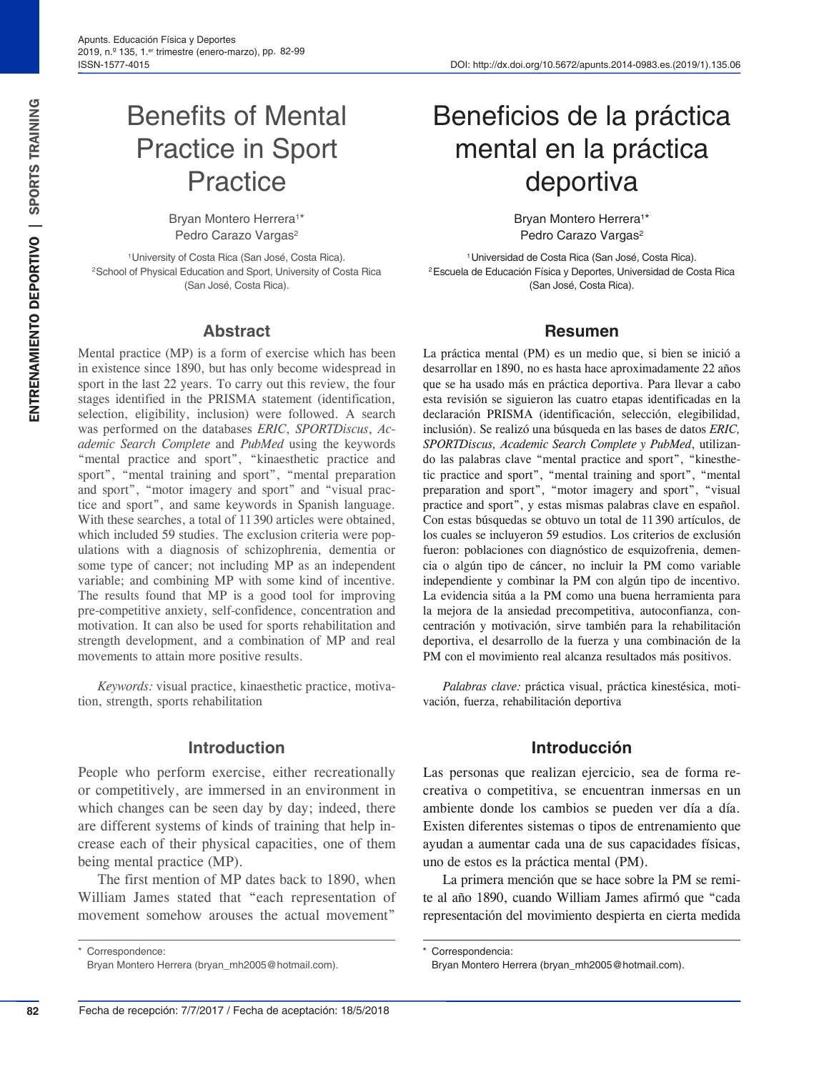# Benefits of Mental Practice in Sport **Practice**

Bryan Montero Herrera<sup>1\*</sup> Pedro Carazo Vargas<sup>2</sup>

1University of Costa Rica (San José, Costa Rica). 2School of Physical Education and Sport, University of Costa Rica (San José, Costa Rica).

#### **Abstract**

Mental practice (MP) is a form of exercise which has been in existence since 1890, but has only become widespread in sport in the last 22 years. To carry out this review, the four stages identified in the PRISMA statement (identification, selection, eligibility, inclusion) were followed. A search was performed on the databases *ERIC*, *SPORTDiscus*, *Academic Search Complete* and *PubMed* using the keywords "mental practice and sport", "kinaesthetic practice and sport", "mental training and sport", "mental preparation and sport", "motor imagery and sport" and "visual practice and sport", and same keywords in Spanish language. With these searches, a total of 11 390 articles were obtained, which included 59 studies. The exclusion criteria were populations with a diagnosis of schizophrenia, dementia or some type of cancer; not including MP as an independent variable; and combining MP with some kind of incentive. The results found that MP is a good tool for improving pre-competitive anxiety, self-confidence, concentration and motivation. It can also be used for sports rehabilitation and strength development, and a combination of MP and real movements to attain more positive results.

*Keywords:* visual practice, kinaesthetic practice, motivation, strength, sports rehabilitation

#### **Introduction**

People who perform exercise, either recreationally or competitively, are immersed in an environment in which changes can be seen day by day; indeed, there are different systems of kinds of training that help increase each of their physical capacities, one of them being mental practice (MP).

The first mention of MP dates back to 1890, when William James stated that "each representation of movement somehow arouses the actual movement"

\* Correspondence:

# Beneficios de la práctica mental en la práctica deportiva

Bryan Montero Herrera<sup>1\*</sup> Pedro Carazo Vargas<sup>2</sup>

1Universidad de Costa Rica (San José, Costa Rica). 2Escuela de Educación Física y Deportes, Universidad de Costa Rica (San José, Costa Rica).

#### **Resumen**

La práctica mental (PM) es un medio que, si bien se inició a desarrollar en 1890, no es hasta hace aproximadamente 22 años que se ha usado más en práctica deportiva. Para llevar a cabo esta revisión se siguieron las cuatro etapas identificadas en la declaración PRISMA (identificación, selección, elegibilidad, inclusión). Se realizó una búsqueda en las bases de datos *ERIC, SPORTDiscus, Academic Search Complete y PubMed*, utilizando las palabras clave "mental practice and sport", "kinesthetic practice and sport", "mental training and sport", "mental preparation and sport", "motor imagery and sport", "visual practice and sport", y estas mismas palabras clave en español. Con estas búsquedas se obtuvo un total de 11 390 artículos, de los cuales se incluyeron 59 estudios. Los criterios de exclusión fueron: poblaciones con diagnóstico de esquizofrenia, demencia o algún tipo de cáncer, no incluir la PM como variable independiente y combinar la PM con algún tipo de incentivo. La evidencia sitúa a la PM como una buena herramienta para la mejora de la ansiedad precompetitiva, autoconfianza, concentración y motivación, sirve también para la rehabilitación deportiva, el desarrollo de la fuerza y una combinación de la PM con el movimiento real alcanza resultados más positivos.

*Palabras clave:* práctica visual, práctica kinestésica, motivación, fuerza, rehabilitación deportiva

#### **Introducción**

Las personas que realizan ejercicio, sea de forma recreativa o competitiva, se encuentran inmersas en un ambiente donde los cambios se pueden ver día a día. Existen diferentes sistemas o tipos de entrenamiento que ayudan a aumentar cada una de sus capacidades físicas, uno de estos es la práctica mental (PM).

La primera mención que se hace sobre la PM se remite al año 1890, cuando William James afirmó que "cada representación del movimiento despierta en cierta medida

Bryan Montero Herrera (bryan\_mh2005@hotmail.com).

Correspondencia:

Bryan Montero Herrera (bryan\_mh2005@hotmail.com).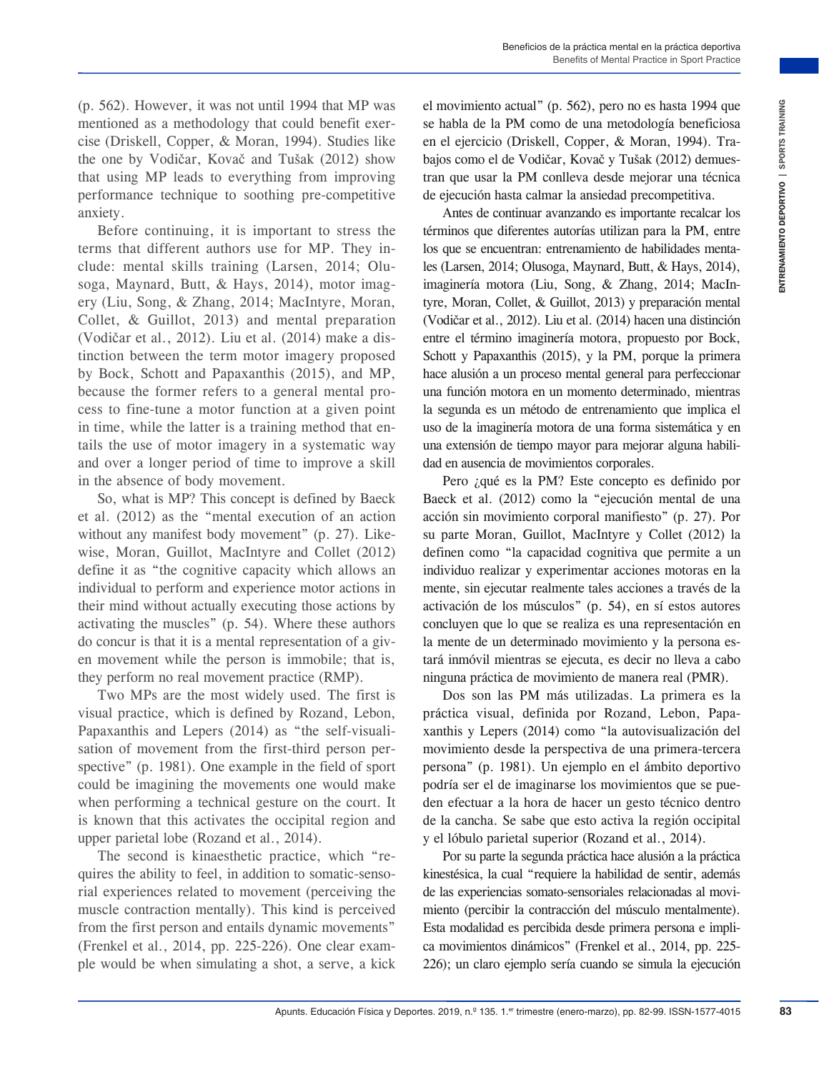(p. 562). However, it was not until 1994 that MP was mentioned as a methodology that could benefit exercise (Driskell, Copper, & Moran, 1994). Studies like the one by Vodičar, Kovač and Tušak (2012) show that using MP leads to everything from improving performance technique to soothing pre-competitive anxiety.

Before continuing, it is important to stress the terms that different authors use for MP. They include: mental skills training (Larsen, 2014; Olusoga, Maynard, Butt, & Hays, 2014), motor imagery (Liu, Song, & Zhang, 2014; MacIntyre, Moran, Collet, & Guillot, 2013) and mental preparation (Vodičar et al., 2012). Liu et al. (2014) make a distinction between the term motor imagery proposed by Bock, Schott and Papaxanthis (2015), and MP, because the former refers to a general mental process to fine-tune a motor function at a given point in time, while the latter is a training method that entails the use of motor imagery in a systematic way and over a longer period of time to improve a skill in the absence of body movement.

So, what is MP? This concept is defined by Baeck et al. (2012) as the "mental execution of an action without any manifest body movement" (p. 27). Likewise, Moran, Guillot, MacIntyre and Collet (2012) define it as "the cognitive capacity which allows an individual to perform and experience motor actions in their mind without actually executing those actions by activating the muscles" (p. 54). Where these authors do concur is that it is a mental representation of a given movement while the person is immobile; that is, they perform no real movement practice (RMP).

Two MPs are the most widely used. The first is visual practice, which is defined by Rozand, Lebon, Papaxanthis and Lepers (2014) as "the self-visualisation of movement from the first-third person perspective" (p. 1981). One example in the field of sport could be imagining the movements one would make when performing a technical gesture on the court. It is known that this activates the occipital region and upper parietal lobe (Rozand et al., 2014).

The second is kinaesthetic practice, which "requires the ability to feel, in addition to somatic-sensorial experiences related to movement (perceiving the muscle contraction mentally). This kind is perceived from the first person and entails dynamic movements" (Frenkel et al., 2014, pp. 225-226). One clear example would be when simulating a shot, a serve, a kick el movimiento actual" (p. 562), pero no es hasta 1994 que se habla de la PM como de una metodología beneficiosa en el ejercicio (Driskell, Copper, & Moran, 1994). Trabajos como el de Vodičar, Kovač y Tušak (2012) demuestran que usar la PM conlleva desde mejorar una técnica de ejecución hasta calmar la ansiedad precompetitiva.

II 1904 that VIP was allowed the convinction scaling the content of the proper. **A** More is the convinction Content (1919), Suites in the proper and the content of training (1941), The mean the proper and the proper and t Antes de continuar avanzando es importante recalcar los términos que diferentes autorías utilizan para la PM, entre los que se encuentran: entrenamiento de habilidades mentales (Larsen, 2014; Olusoga, Maynard, Butt, & Hays, 2014), imaginería motora (Liu, Song, & Zhang, 2014; MacIntyre, Moran, Collet, & Guillot, 2013) y preparación mental (Vodičar et al., 2012). Liu et al. (2014) hacen una distinción entre el término imaginería motora, propuesto por Bock, Schott y Papaxanthis (2015), y la PM, porque la primera hace alusión a un proceso mental general para perfeccionar una función motora en un momento determinado, mientras la segunda es un método de entrenamiento que implica el uso de la imaginería motora de una forma sistemática y en una extensión de tiempo mayor para mejorar alguna habilidad en ausencia de movimientos corporales.

Pero ¿qué es la PM? Este concepto es definido por Baeck et al. (2012) como la "ejecución mental de una acción sin movimiento corporal manifiesto" (p. 27). Por su parte Moran, Guillot, MacIntyre y Collet (2012) la definen como "la capacidad cognitiva que permite a un individuo realizar y experimentar acciones motoras en la mente, sin ejecutar realmente tales acciones a través de la activación de los músculos" (p. 54), en sí estos autores concluyen que lo que se realiza es una representación en la mente de un determinado movimiento y la persona estará inmóvil mientras se ejecuta, es decir no lleva a cabo ninguna práctica de movimiento de manera real (PMR).

Dos son las PM más utilizadas. La primera es la práctica visual, definida por Rozand, Lebon, Papaxanthis y Lepers (2014) como "la autovisualización del movimiento desde la perspectiva de una primera-tercera persona" (p. 1981). Un ejemplo en el ámbito deportivo podría ser el de imaginarse los movimientos que se pueden efectuar a la hora de hacer un gesto técnico dentro de la cancha. Se sabe que esto activa la región occipital y el lóbulo parietal superior (Rozand et al., 2014).

Por su parte la segunda práctica hace alusión a la práctica kinestésica, la cual "requiere la habilidad de sentir, además de las experiencias somato-sensoriales relacionadas al movimiento (percibir la contracción del músculo mentalmente). Esta modalidad es percibida desde primera persona e implica movimientos dinámicos" (Frenkel et al., 2014, pp. 225- 226); un claro ejemplo sería cuando se simula la ejecución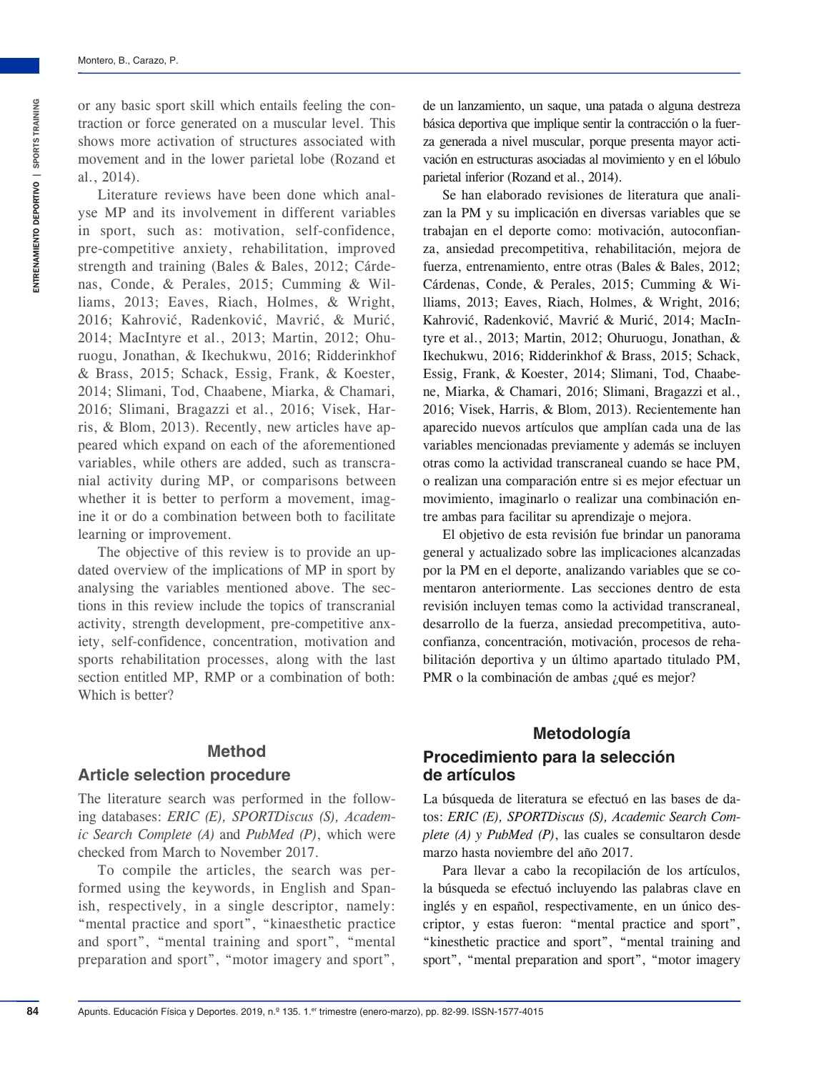ENTRENAMIENTO DEPORTIVO | SPORTS TRAINING

ENTRENAMIENTO DEPORTIVO | SPORTS TRAINING

Montero, B., Carazo, P.

Literature reviews have been done which analyse MP and its involvement in different variables in sport, such as: motivation, self-confidence, pre-competitive anxiety, rehabilitation, improved strength and training (Bales & Bales, 2012; Cárdenas, Conde, & Perales, 2015; Cumming & Williams, 2013; Eaves, Riach, Holmes, & Wright, 2016; Kahrović, Radenković, Mavrić, & Murić, 2014; MacIntyre et al., 2013; Martin, 2012; Ohuruogu, Jonathan, & Ikechukwu, 2016; Ridderinkhof & Brass, 2015; Schack, Essig, Frank, & Koester, 2014; Slimani, Tod, Chaabene, Miarka, & Chamari, 2016; Slimani, Bragazzi et al., 2016; Visek, Harris, & Blom, 2013). Recently, new articles have appeared which expand on each of the aforementioned variables, while others are added, such as transcranial activity during MP, or comparisons between whether it is better to perform a movement, imagine it or do a combination between both to facilitate learning or improvement.

The objective of this review is to provide an updated overview of the implications of MP in sport by analysing the variables mentioned above. The sections in this review include the topics of transcranial activity, strength development, pre-competitive anxiety, self-confidence, concentration, motivation and sports rehabilitation processes, along with the last section entitled MP, RMP or a combination of both: Which is better?

# **Method**

#### **Article selection procedure**

The literature search was performed in the following databases: *ERIC (E), SPORTDiscus (S), Academic Search Complete (A)* and *PubMed (P)*, which were checked from March to November 2017.

To compile the articles, the search was performed using the keywords, in English and Spanish, respectively, in a single descriptor, namely: "mental practice and sport", "kinaesthetic practice and sport", "mental training and sport", "mental preparation and sport", "motor imagery and sport", de un lanzamiento, un saque, una patada o alguna destreza básica deportiva que implique sentir la contracción o la fuerza generada a nivel muscular, porque presenta mayor activación en estructuras asociadas al movimiento y en el lóbulo parietal inferior (Rozand et al., 2014).

Se han elaborado revisiones de literatura que analizan la PM y su implicación en diversas variables que se trabajan en el deporte como: motivación, autoconfianza, ansiedad precompetitiva, rehabilitación, mejora de fuerza, entrenamiento, entre otras (Bales & Bales, 2012; Cárdenas, Conde, & Perales, 2015; Cumming & Williams, 2013; Eaves, Riach, Holmes, & Wright, 2016; Kahrović, Radenković, Mavrić & Murić, 2014; MacIntyre et al., 2013; Martin, 2012; Ohuruogu, Jonathan, & Ikechukwu, 2016; Ridderinkhof & Brass, 2015; Schack, Essig, Frank, & Koester, 2014; Slimani, Tod, Chaabene, Miarka, & Chamari, 2016; Slimani, Bragazzi et al., 2016; Visek, Harris, & Blom, 2013). Recientemente han aparecido nuevos artículos que amplían cada una de las variables mencionadas previamente y además se incluyen otras como la actividad transcraneal cuando se hace PM, o realizan una comparación entre si es mejor efectuar un movimiento, imaginarlo o realizar una combinación entre ambas para facilitar su aprendizaje o mejora.

El objetivo de esta revisión fue brindar un panorama general y actualizado sobre las implicaciones alcanzadas por la PM en el deporte, analizando variables que se comentaron anteriormente. Las secciones dentro de esta revisión incluyen temas como la actividad transcraneal, desarrollo de la fuerza, ansiedad precompetitiva, autoconfianza, concentración, motivación, procesos de rehabilitación deportiva y un último apartado titulado PM, PMR o la combinación de ambas ¿qué es mejor?

# **Metodología Procedimiento para la selección de artículos**

La búsqueda de literatura se efectuó en las bases de datos: *ERIC (E), SPORTDiscus (S), Academic Search Complete (A) y PubMed (P)*, las cuales se consultaron desde marzo hasta noviembre del año 2017.

Para llevar a cabo la recopilación de los artículos, la búsqueda se efectuó incluyendo las palabras clave en inglés y en español, respectivamente, en un único descriptor, y estas fueron: "mental practice and sport", "kinesthetic practice and sport", "mental training and sport", "mental preparation and sport", "motor imagery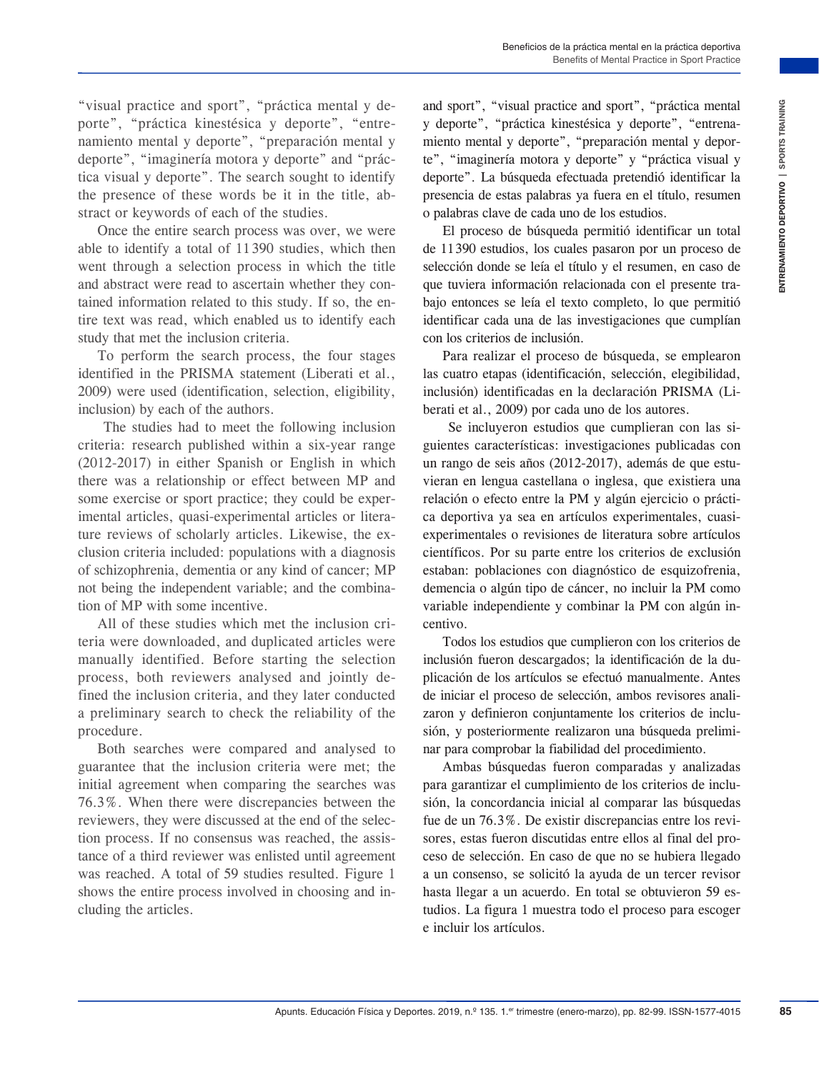"visual practice and sport", "práctica mental y deporte", "práctica kinestésica y deporte", "entrenamiento mental y deporte", "preparación mental y deporte", "imaginería motora y deporte" and "práctica visual y deporte". The search sought to identify the presence of these words be it in the title, abstract or keywords of each of the studies.

Once the entire search process was over, we were able to identify a total of 11 390 studies, which then went through a selection process in which the title and abstract were read to ascertain whether they contained information related to this study. If so, the entire text was read, which enabled us to identify each study that met the inclusion criteria.

To perform the search process, the four stages identified in the PRISMA statement (Liberati et al., 2009) were used (identification, selection, eligibility, inclusion) by each of the authors.

 The studies had to meet the following inclusion criteria: research published within a six-year range (2012-2017) in either Spanish or English in which there was a relationship or effect between MP and some exercise or sport practice; they could be experimental articles, quasi-experimental articles or literature reviews of scholarly articles. Likewise, the exclusion criteria included: populations with a diagnosis of schizophrenia, dementia or any kind of cancer; MP not being the independent variable; and the combination of MP with some incentive.

All of these studies which met the inclusion criteria were downloaded, and duplicated articles were manually identified. Before starting the selection process, both reviewers analysed and jointly defined the inclusion criteria, and they later conducted a preliminary search to check the reliability of the procedure.

Both searches were compared and analysed to guarantee that the inclusion criteria were met; the initial agreement when comparing the searches was 76.3%. When there were discrepancies between the reviewers, they were discussed at the end of the selection process. If no consensus was reached, the assistance of a third reviewer was enlisted until agreement was reached. A total of 59 studies resulted. Figure 1 shows the entire process involved in choosing and including the articles.

and sport", "visual practice and sport", "práctica mental y deporte", "práctica kinestésica y deporte", "entrenamiento mental y deporte", "preparación mental y deporte", "imaginería motora y deporte" y "práctica visual y deporte". La búsqueda efectuada pretendió identificar la presencia de estas palabras ya fuera en el título, resumen o palabras clave de cada uno de los estudios.

El proceso de búsqueda permitió identificar un total de 11390 estudios, los cuales pasaron por un proceso de selección donde se leía el título y el resumen, en caso de que tuviera información relacionada con el presente trabajo entonces se leía el texto completo, lo que permitió identificar cada una de las investigaciones que cumplían con los criterios de inclusión.

Para realizar el proceso de búsqueda, se emplearon las cuatro etapas (identificación, selección, elegibilidad, inclusión) identificadas en la declaración PRISMA (Liberati et al., 2009) por cada uno de los autores.

Since means the state of the state of the state of the state and sports. The state and is a mean to present the state and in the state of the state of the state of the state of the state of the state of the state of the s Se incluyeron estudios que cumplieran con las siguientes características: investigaciones publicadas con un rango de seis años (2012-2017), además de que estuvieran en lengua castellana o inglesa, que existiera una relación o efecto entre la PM y algún ejercicio o práctica deportiva ya sea en artículos experimentales, cuasiexperimentales o revisiones de literatura sobre artículos científicos. Por su parte entre los criterios de exclusión estaban: poblaciones con diagnóstico de esquizofrenia, demencia o algún tipo de cáncer, no incluir la PM como variable independiente y combinar la PM con algún incentivo.

Todos los estudios que cumplieron con los criterios de inclusión fueron descargados; la identificación de la duplicación de los artículos se efectuó manualmente. Antes de iniciar el proceso de selección, ambos revisores analizaron y definieron conjuntamente los criterios de inclusión, y posteriormente realizaron una búsqueda preliminar para comprobar la fiabilidad del procedimiento.

Ambas búsquedas fueron comparadas y analizadas para garantizar el cumplimiento de los criterios de inclusión, la concordancia inicial al comparar las búsquedas fue de un 76.3%. De existir discrepancias entre los revisores, estas fueron discutidas entre ellos al final del proceso de selección. En caso de que no se hubiera llegado a un consenso, se solicitó la ayuda de un tercer revisor hasta llegar a un acuerdo. En total se obtuvieron 59 estudios. La figura 1 muestra todo el proceso para escoger e incluir los artículos.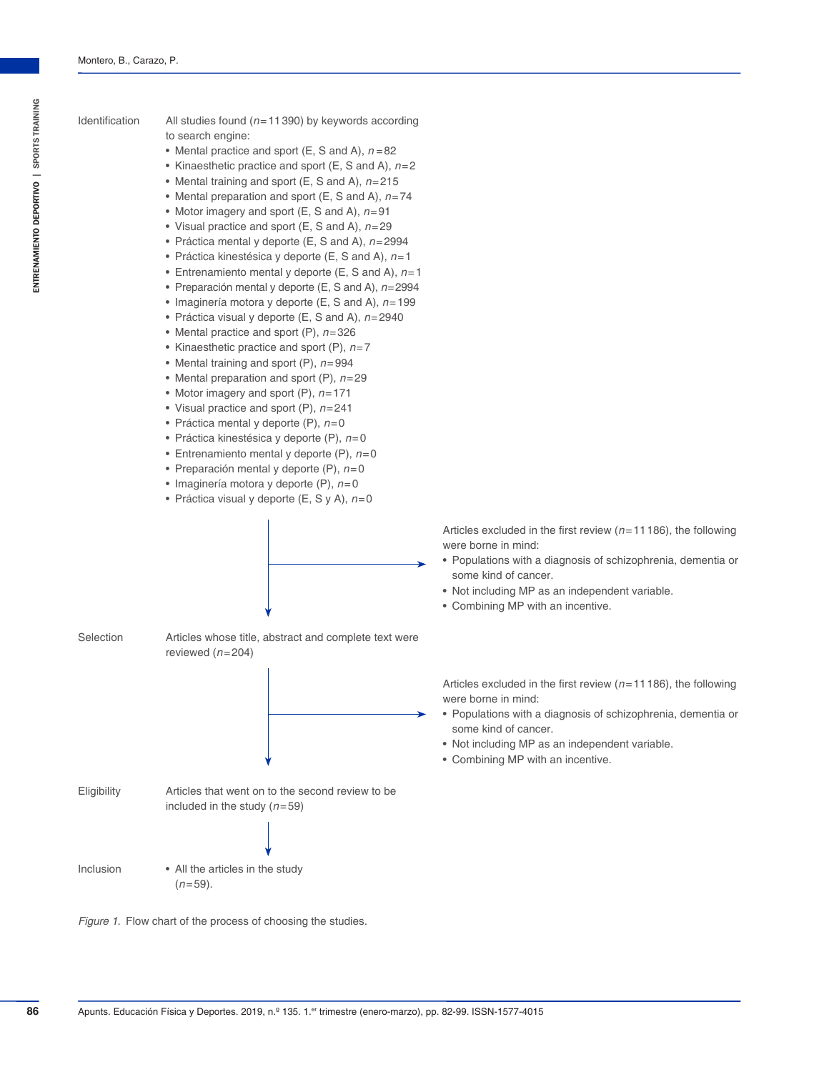- Identification All studies found (*n*=11390) by keywords according to search engine:
	- Mental practice and sport  $(E, S \text{ and } A)$ ,  $n = 82$
	- Kinaesthetic practice and sport (E, S and A), *n*=2
	- Mental training and sport (E, S and A), *n*=215
	- Mental preparation and sport (E, S and A), *n*=74
	- Motor imagery and sport (E, S and A), *n*=91
	- Visual practice and sport (E, S and A), *n*=29
	- Práctica mental y deporte (E, S and A), *n*=2994
	- Práctica kinestésica y deporte (E, S and A), *n*=1
	- Entrenamiento mental y deporte (E, S and A), *n*=1
	- Preparación mental y deporte (E, S and A), *n*=2994
	- Imaginería motora y deporte (E, S and A), *n*=199
	- Práctica visual y deporte (E, S and A), *n*=2940
	- Mental practice and sport (P), *n*=326
	- Kinaesthetic practice and sport (P), *n*=7
	- Mental training and sport (P), *n*=994
	- Mental preparation and sport (P), *n*=29
	- Motor imagery and sport (P), *n*=171
	- Visual practice and sport (P), *n*=241
	- Práctica mental y deporte (P), *n*=0
	- Práctica kinestésica y deporte (P), *n*=0
	- Entrenamiento mental y deporte (P), *n*=0
	- Preparación mental y deporte (P), *n*=0
	- Imaginería motora y deporte (P), *n*=0
	- Práctica visual y deporte (E, S y A), *n*=0



Selection Articles whose title, abstract and complete text were reviewed (*n*=204)



Inclusion • All the articles in the study (*n*=59).



Articles excluded in the first review (*n*=11186), the following were borne in mind:

- Populations with a diagnosis of schizophrenia, dementia or some kind of cancer.
- Not including MP as an independent variable.
- Combining MP with an incentive.

Articles excluded in the first review (*n*=11186), the following were borne in mind:

- Populations with a diagnosis of schizophrenia, dementia or some kind of cancer.
- Not including MP as an independent variable.
- Combining MP with an incentive.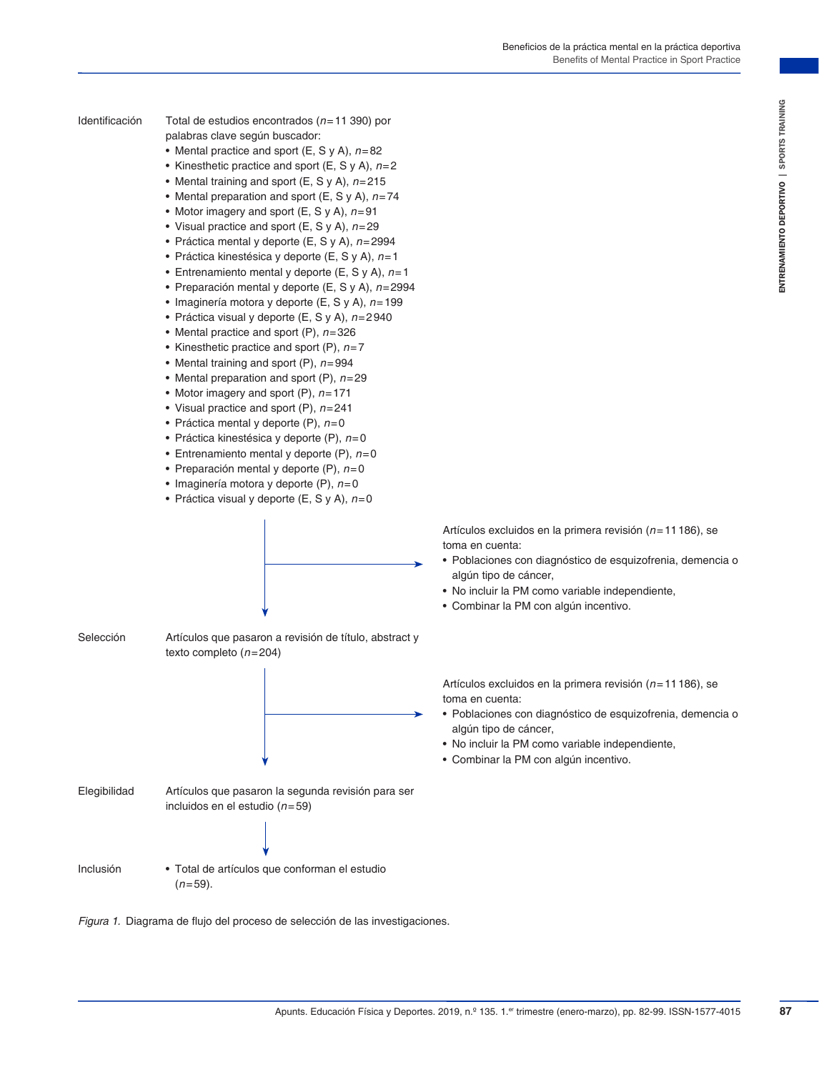- 
- Identificación Total de estudios encontrados (*n*=11 390) por palabras clave según buscador:
	- Mental practice and sport (E, S y A), *n*=82
	- Kinesthetic practice and sport (E, S y A), *n*=2
	- Mental training and sport (E, S y A), *n*=215
	- Mental preparation and sport (E, S y A), *n*=74
	- Motor imagery and sport (E, S y A), *n*=91
	- Visual practice and sport (E, S y A), *n*=29
	- Práctica mental y deporte (E, S y A), *n*=2994
	- Práctica kinestésica y deporte (E, S y A), *n*=1
	- Entrenamiento mental y deporte (E, S y A), *n*=1
	- Preparación mental y deporte (E, S y A), *n*=2994
	- Imaginería motora y deporte (E, S y A), *n*=199
	- Práctica visual y deporte (E, S y A), *n*=2940
	- Mental practice and sport (P), *n*=326
	- Kinesthetic practice and sport (P), *n*=7
	- Mental training and sport (P), *n*=994
	- Mental preparation and sport (P), *n*=29
	- Motor imagery and sport (P), *n*=171
	- Visual practice and sport (P), *n*=241
	- Práctica mental y deporte (P), *n*=0
	- Práctica kinestésica y deporte (P), *n*=0
	- Entrenamiento mental y deporte (P), *n*=0
	- Preparación mental y deporte (P), *n*=0
	- Imaginería motora y deporte (P), *n*=0
	- Práctica visual y deporte (E, S y A), *n*=0



Selección Artículos que pasaron a revisión de título, abstract y texto completo (*n*=204)



Elegibilidad Artículos que pasaron la segunda revisión para ser incluidos en el estudio (*n*=59)

Inclusión • Total de artículos que conforman el estudio (*n*=59).

*Figura 1.* Diagrama de flujo del proceso de selección de las investigaciones.

Artículos excluidos en la primera revisión (*n*=11186), se toma en cuenta:

- Poblaciones con diagnóstico de esquizofrenia, demencia o algún tipo de cáncer,
- No incluir la PM como variable independiente,
- Combinar la PM con algún incentivo.

Artículos excluidos en la primera revisión (*n*=11186), se toma en cuenta:

- Poblaciones con diagnóstico de esquizofrenia, demencia o algún tipo de cáncer,
- No incluir la PM como variable independiente,
- Combinar la PM con algún incentivo.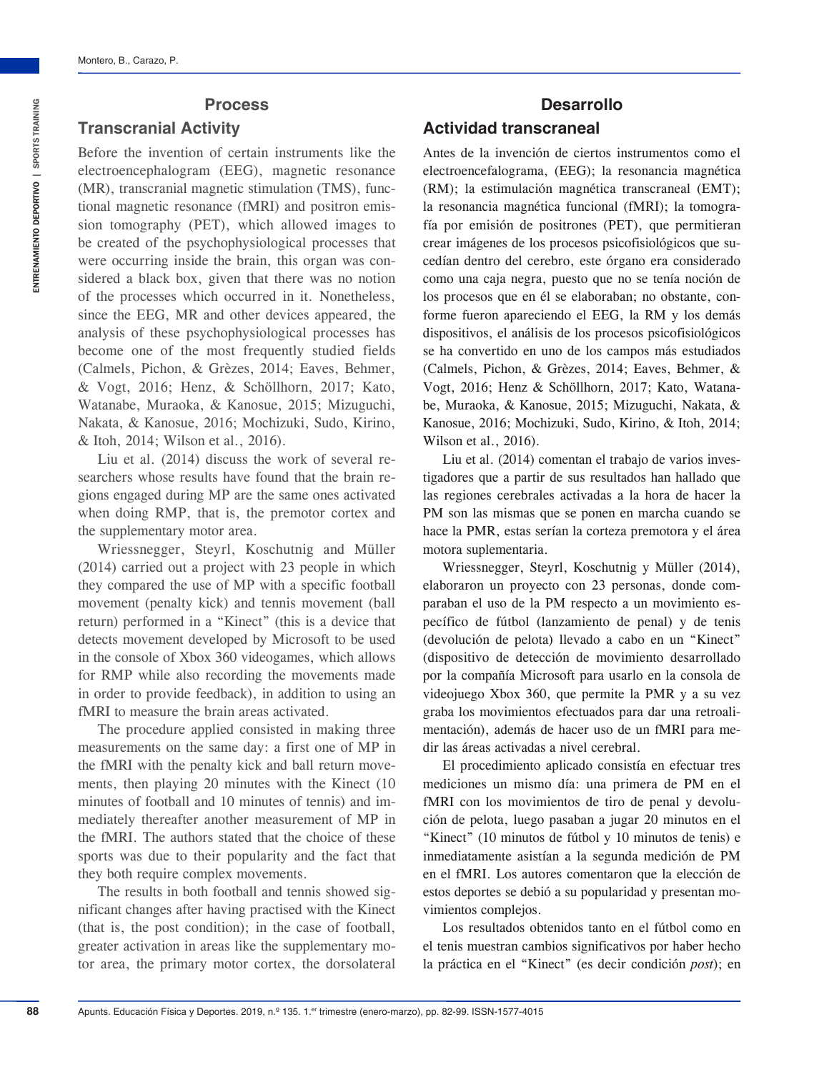#### **Process**

#### **Transcranial Activity**

Before the invention of certain instruments like the electroencephalogram (EEG), magnetic resonance (MR), transcranial magnetic stimulation (TMS), functional magnetic resonance (fMRI) and positron emission tomography (PET), which allowed images to be created of the psychophysiological processes that were occurring inside the brain, this organ was considered a black box, given that there was no notion of the processes which occurred in it. Nonetheless, since the EEG, MR and other devices appeared, the analysis of these psychophysiological processes has become one of the most frequently studied fields (Calmels, Pichon, & Grèzes, 2014; Eaves, Behmer, & Vogt, 2016; Henz, & Schöllhorn, 2017; Kato, Watanabe, Muraoka, & Kanosue, 2015; Mizuguchi, Nakata, & Kanosue, 2016; Mochizuki, Sudo, Kirino, & Itoh, 2014; Wilson et al., 2016).

Liu et al. (2014) discuss the work of several researchers whose results have found that the brain regions engaged during MP are the same ones activated when doing RMP, that is, the premotor cortex and the supplementary motor area.

Wriessnegger, Steyrl, Koschutnig and Müller (2014) carried out a project with 23 people in which they compared the use of MP with a specific football movement (penalty kick) and tennis movement (ball return) performed in a "Kinect" (this is a device that detects movement developed by Microsoft to be used in the console of Xbox 360 videogames, which allows for RMP while also recording the movements made in order to provide feedback), in addition to using an fMRI to measure the brain areas activated.

The procedure applied consisted in making three measurements on the same day: a first one of MP in the fMRI with the penalty kick and ball return movements, then playing 20 minutes with the Kinect (10 minutes of football and 10 minutes of tennis) and immediately thereafter another measurement of MP in the fMRI. The authors stated that the choice of these sports was due to their popularity and the fact that they both require complex movements.

The results in both football and tennis showed significant changes after having practised with the Kinect (that is, the post condition); in the case of football, greater activation in areas like the supplementary motor area, the primary motor cortex, the dorsolateral

# **Desarrollo Actividad transcraneal**

Antes de la invención de ciertos instrumentos como el electroencefalograma, (EEG); la resonancia magnética (RM); la estimulación magnética transcraneal (EMT); la resonancia magnética funcional (fMRI); la tomografía por emisión de positrones (PET), que permitieran crear imágenes de los procesos psicofisiológicos que sucedían dentro del cerebro, este órgano era considerado como una caja negra, puesto que no se tenía noción de los procesos que en él se elaboraban; no obstante, conforme fueron apareciendo el EEG, la RM y los demás dispositivos, el análisis de los procesos psicofisiológicos se ha convertido en uno de los campos más estudiados (Calmels, Pichon, & Grèzes, 2014; Eaves, Behmer, & Vogt, 2016; Henz & Schöllhorn, 2017; Kato, Watanabe, Muraoka, & Kanosue, 2015; Mizuguchi, Nakata, & Kanosue, 2016; Mochizuki, Sudo, Kirino, & Itoh, 2014; Wilson et al., 2016).

Liu et al. (2014) comentan el trabajo de varios investigadores que a partir de sus resultados han hallado que las regiones cerebrales activadas a la hora de hacer la PM son las mismas que se ponen en marcha cuando se hace la PMR, estas serían la corteza premotora y el área motora suplementaria.

Wriessnegger, Steyrl, Koschutnig y Müller (2014), elaboraron un proyecto con 23 personas, donde comparaban el uso de la PM respecto a un movimiento específico de fútbol (lanzamiento de penal) y de tenis (devolución de pelota) llevado a cabo en un "Kinect" (dispositivo de detección de movimiento desarrollado por la compañía Microsoft para usarlo en la consola de videojuego Xbox 360, que permite la PMR y a su vez graba los movimientos efectuados para dar una retroalimentación), además de hacer uso de un fMRI para medir las áreas activadas a nivel cerebral.

El procedimiento aplicado consistía en efectuar tres mediciones un mismo día: una primera de PM en el fMRI con los movimientos de tiro de penal y devolución de pelota, luego pasaban a jugar 20 minutos en el "Kinect" (10 minutos de fútbol y 10 minutos de tenis) e inmediatamente asistían a la segunda medición de PM en el fMRI. Los autores comentaron que la elección de estos deportes se debió a su popularidad y presentan movimientos complejos.

Los resultados obtenidos tanto en el fútbol como en el tenis muestran cambios significativos por haber hecho la práctica en el "Kinect" (es decir condición *post*); en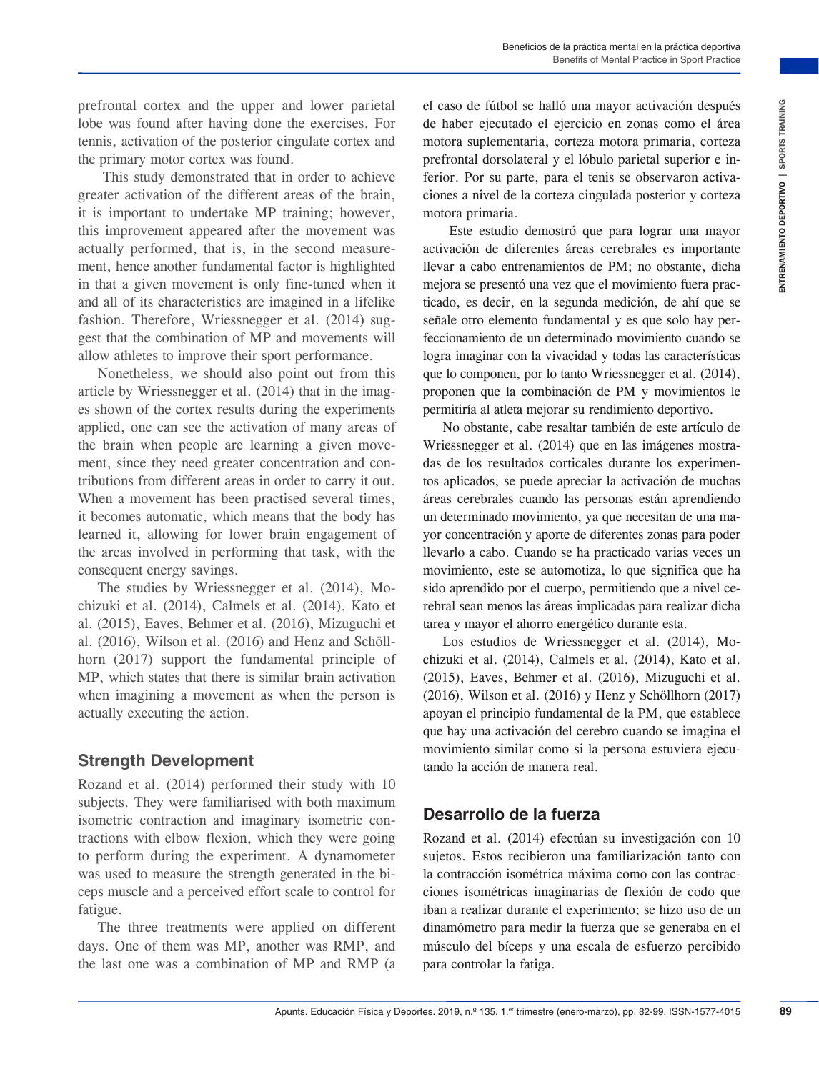prefrontal cortex and the upper and lower parietal lobe was found after having done the exercises. For tennis, activation of the posterior cingulate cortex and the primary motor cortex was found.

 This study demonstrated that in order to achieve greater activation of the different areas of the brain, it is important to undertake MP training; however, this improvement appeared after the movement was actually performed, that is, in the second measurement, hence another fundamental factor is highlighted in that a given movement is only fine-tuned when it and all of its characteristics are imagined in a lifelike fashion. Therefore, Wriessnegger et al. (2014) suggest that the combination of MP and movements will allow athletes to improve their sport performance.

Nonetheless, we should also point out from this article by Wriessnegger et al. (2014) that in the images shown of the cortex results during the experiments applied, one can see the activation of many areas of the brain when people are learning a given movement, since they need greater concentration and contributions from different areas in order to carry it out. When a movement has been practised several times, it becomes automatic, which means that the body has learned it, allowing for lower brain engagement of the areas involved in performing that task, with the consequent energy savings.

The studies by Wriessnegger et al. (2014), Mochizuki et al. (2014), Calmels et al. (2014), Kato et al. (2015), Eaves, Behmer et al. (2016), Mizuguchi et al. (2016), Wilson et al. (2016) and Henz and Schöllhorn (2017) support the fundamental principle of MP, which states that there is similar brain activation when imagining a movement as when the person is actually executing the action.

#### **Strength Development**

Rozand et al. (2014) performed their study with 10 subjects. They were familiarised with both maximum isometric contraction and imaginary isometric contractions with elbow flexion, which they were going to perform during the experiment. A dynamometer was used to measure the strength generated in the biceps muscle and a perceived effort scale to control for fatigue.

The three treatments were applied on different days. One of them was MP, another was RMP, and the last one was a combination of MP and RMP (a

el caso de fútbol se halló una mayor activación después de haber ejecutado el ejercicio en zonas como el área motora suplementaria, corteza motora primaria, corteza prefrontal dorsolateral y el lóbulo parietal superior e inferior. Por su parte, para el tenis se observaron activaciones a nivel de la corteza cingulada posterior y corteza motora primaria.

 Este estudio demostró que para lograr una mayor activación de diferentes áreas cerebrales es importante llevar a cabo entrenamientos de PM; no obstante, dicha mejora se presentó una vez que el movimiento fuera practicado, es decir, en la segunda medición, de ahí que se señale otro elemento fundamental y es que solo hay perfeccionamiento de un determinado movimiento cuando se logra imaginar con la vivacidad y todas las características que lo componen, por lo tanto Wriessnegger et al. (2014), proponen que la combinación de PM y movimientos le permitiría al atleta mejorar su rendimiento deportivo.

and boxer particular detailed care trains and over the statistic and the statistic detailed and the statistic series. The content of the statistic series, particular and the modern content primarial, ourer another primaria No obstante, cabe resaltar también de este artículo de Wriessnegger et al. (2014) que en las imágenes mostradas de los resultados corticales durante los experimentos aplicados, se puede apreciar la activación de muchas áreas cerebrales cuando las personas están aprendiendo un determinado movimiento, ya que necesitan de una mayor concentración y aporte de diferentes zonas para poder llevarlo a cabo. Cuando se ha practicado varias veces un movimiento, este se automotiza, lo que significa que ha sido aprendido por el cuerpo, permitiendo que a nivel cerebral sean menos las áreas implicadas para realizar dicha tarea y mayor el ahorro energético durante esta.

Los estudios de Wriessnegger et al. (2014), Mochizuki et al. (2014), Calmels et al. (2014), Kato et al. (2015), Eaves, Behmer et al. (2016), Mizuguchi et al. (2016), Wilson et al. (2016) y Henz y Schöllhorn (2017) apoyan el principio fundamental de la PM, que establece que hay una activación del cerebro cuando se imagina el movimiento similar como si la persona estuviera ejecutando la acción de manera real.

# **Desarrollo de la fuerza**

Rozand et al. (2014) efectúan su investigación con 10 sujetos. Estos recibieron una familiarización tanto con la contracción isométrica máxima como con las contracciones isométricas imaginarias de flexión de codo que iban a realizar durante el experimento; se hizo uso de un dinamómetro para medir la fuerza que se generaba en el músculo del bíceps y una escala de esfuerzo percibido para controlar la fatiga.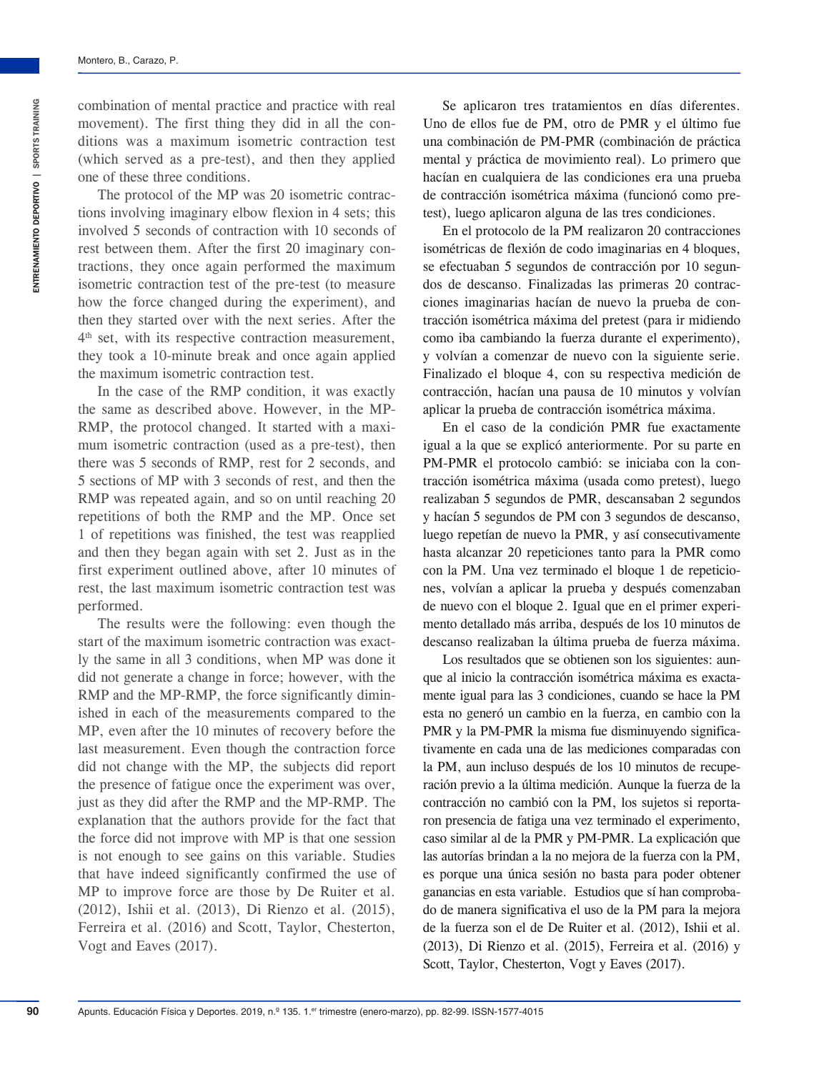combination of mental practice and practice with real movement). The first thing they did in all the conditions was a maximum isometric contraction test (which served as a pre-test), and then they applied one of these three conditions.

The protocol of the MP was 20 isometric contractions involving imaginary elbow flexion in 4 sets; this involved 5 seconds of contraction with 10 seconds of rest between them. After the first 20 imaginary contractions, they once again performed the maximum isometric contraction test of the pre-test (to measure how the force changed during the experiment), and then they started over with the next series. After the 4<sup>th</sup> set, with its respective contraction measurement, they took a 10-minute break and once again applied the maximum isometric contraction test.

In the case of the RMP condition, it was exactly the same as described above. However, in the MP-RMP, the protocol changed. It started with a maximum isometric contraction (used as a pre-test), then there was 5 seconds of RMP, rest for 2 seconds, and 5 sections of MP with 3 seconds of rest, and then the RMP was repeated again, and so on until reaching 20 repetitions of both the RMP and the MP. Once set 1 of repetitions was finished, the test was reapplied and then they began again with set 2. Just as in the first experiment outlined above, after 10 minutes of rest, the last maximum isometric contraction test was performed.

The results were the following: even though the start of the maximum isometric contraction was exactly the same in all 3 conditions, when MP was done it did not generate a change in force; however, with the RMP and the MP-RMP, the force significantly diminished in each of the measurements compared to the MP, even after the 10 minutes of recovery before the last measurement. Even though the contraction force did not change with the MP, the subjects did report the presence of fatigue once the experiment was over, just as they did after the RMP and the MP-RMP. The explanation that the authors provide for the fact that the force did not improve with MP is that one session is not enough to see gains on this variable. Studies that have indeed significantly confirmed the use of MP to improve force are those by De Ruiter et al. (2012), Ishii et al. (2013), Di Rienzo et al. (2015), Ferreira et al. (2016) and Scott, Taylor, Chesterton, Vogt and Eaves (2017).

Se aplicaron tres tratamientos en días diferentes. Uno de ellos fue de PM, otro de PMR y el último fue una combinación de PM-PMR (combinación de práctica mental y práctica de movimiento real). Lo primero que hacían en cualquiera de las condiciones era una prueba de contracción isométrica máxima (funcionó como pretest), luego aplicaron alguna de las tres condiciones.

En el protocolo de la PM realizaron 20 contracciones isométricas de flexión de codo imaginarias en 4 bloques, se efectuaban 5 segundos de contracción por 10 segundos de descanso. Finalizadas las primeras 20 contracciones imaginarias hacían de nuevo la prueba de contracción isométrica máxima del pretest (para ir midiendo como iba cambiando la fuerza durante el experimento), y volvían a comenzar de nuevo con la siguiente serie. Finalizado el bloque 4, con su respectiva medición de contracción, hacían una pausa de 10 minutos y volvían aplicar la prueba de contracción isométrica máxima.

En el caso de la condición PMR fue exactamente igual a la que se explicó anteriormente. Por su parte en PM-PMR el protocolo cambió: se iniciaba con la contracción isométrica máxima (usada como pretest), luego realizaban 5 segundos de PMR, descansaban 2 segundos y hacían 5 segundos de PM con 3 segundos de descanso, luego repetían de nuevo la PMR, y así consecutivamente hasta alcanzar 20 repeticiones tanto para la PMR como con la PM. Una vez terminado el bloque 1 de repeticiones, volvían a aplicar la prueba y después comenzaban de nuevo con el bloque 2. Igual que en el primer experimento detallado más arriba, después de los 10 minutos de descanso realizaban la última prueba de fuerza máxima.

Los resultados que se obtienen son los siguientes: aunque al inicio la contracción isométrica máxima es exactamente igual para las 3 condiciones, cuando se hace la PM esta no generó un cambio en la fuerza, en cambio con la PMR y la PM-PMR la misma fue disminuyendo significativamente en cada una de las mediciones comparadas con la PM, aun incluso después de los 10 minutos de recuperación previo a la última medición. Aunque la fuerza de la contracción no cambió con la PM, los sujetos si reportaron presencia de fatiga una vez terminado el experimento, caso similar al de la PMR y PM-PMR. La explicación que las autorías brindan a la no mejora de la fuerza con la PM, es porque una única sesión no basta para poder obtener ganancias en esta variable. Estudios que sí han comprobado de manera significativa el uso de la PM para la mejora de la fuerza son el de De Ruiter et al. (2012), Ishii et al. (2013), Di Rienzo et al. (2015), Ferreira et al. (2016) y Scott, Taylor, Chesterton, Vogt y Eaves (2017).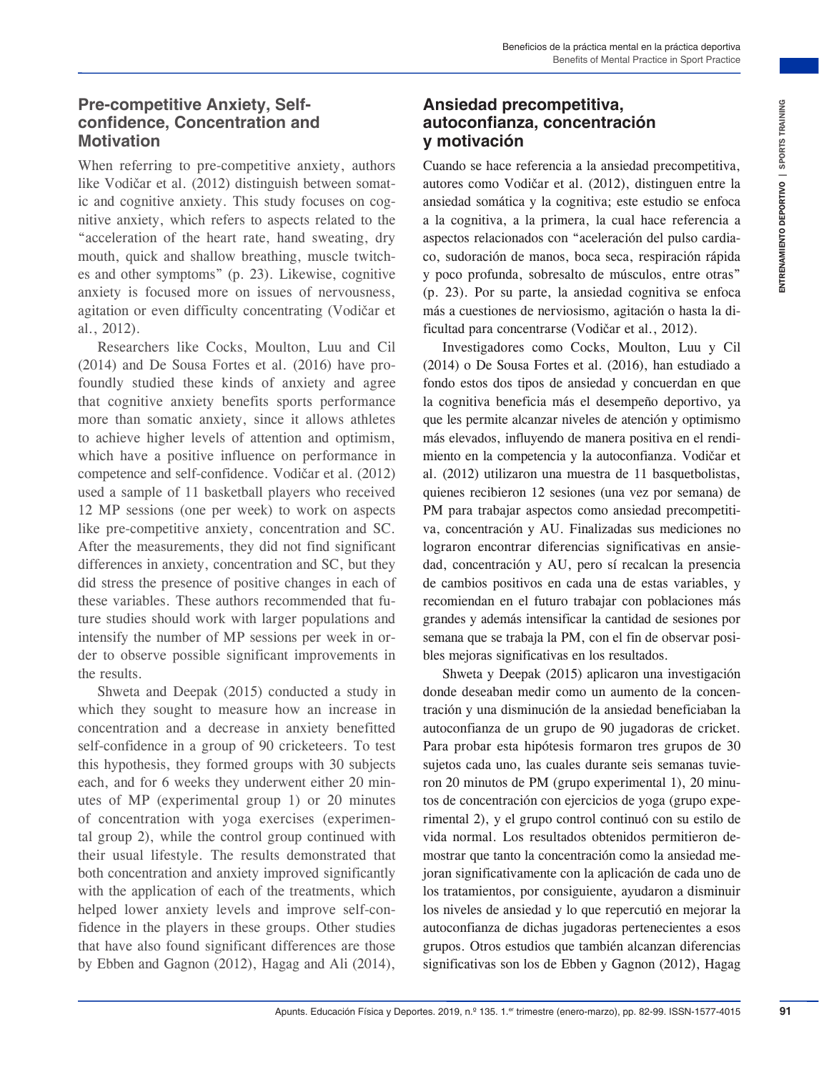#### **Pre-competitive Anxiety, Selfconfidence, Concentration and Motivation**

When referring to pre-competitive anxiety, authors like Vodičar et al. (2012) distinguish between somatic and cognitive anxiety. This study focuses on cognitive anxiety, which refers to aspects related to the "acceleration of the heart rate, hand sweating, dry mouth, quick and shallow breathing, muscle twitches and other symptoms" (p. 23). Likewise, cognitive anxiety is focused more on issues of nervousness, agitation or even difficulty concentrating (Vodičar et al., 2012).

Researchers like Cocks, Moulton, Luu and Cil (2014) and De Sousa Fortes et al. (2016) have profoundly studied these kinds of anxiety and agree that cognitive anxiety benefits sports performance more than somatic anxiety, since it allows athletes to achieve higher levels of attention and optimism, which have a positive influence on performance in competence and self-confidence. Vodičar et al. (2012) used a sample of 11 basketball players who received 12 MP sessions (one per week) to work on aspects like pre-competitive anxiety, concentration and SC. After the measurements, they did not find significant differences in anxiety, concentration and SC, but they did stress the presence of positive changes in each of these variables. These authors recommended that future studies should work with larger populations and intensify the number of MP sessions per week in order to observe possible significant improvements in the results.

Shweta and Deepak (2015) conducted a study in which they sought to measure how an increase in concentration and a decrease in anxiety benefitted self-confidence in a group of 90 cricketeers. To test this hypothesis, they formed groups with 30 subjects each, and for 6 weeks they underwent either 20 minutes of MP (experimental group 1) or 20 minutes of concentration with yoga exercises (experimental group 2), while the control group continued with their usual lifestyle. The results demonstrated that both concentration and anxiety improved significantly with the application of each of the treatments, which helped lower anxiety levels and improve self-confidence in the players in these groups. Other studies that have also found significant differences are those by Ebben and Gagnon (2012), Hagag and Ali (2014),

# **Ansiedad precompetitiva, autoconfianza, concentración y motivación**

Cuando se hace referencia a la ansiedad precompetitiva, autores como Vodičar et al. (2012), distinguen entre la ansiedad somática y la cognitiva; este estudio se enfoca a la cognitiva, a la primera, la cual hace referencia a aspectos relacionados con "aceleración del pulso cardiaco, sudoración de manos, boca seca, respiración rápida y poco profunda, sobresalto de músculos, entre otras" (p. 23). Por su parte, la ansiedad cognitiva se enfoca más a cuestiones de nerviosismo, agitación o hasta la dificultad para concentrarse (Vodičar et al., 2012).

**Setting the model of the state of the state of the state of the content of the state of the state of the state of the state of the state of the state of the state of the state of the state of the state of the state of the** Investigadores como Cocks, Moulton, Luu y Cil (2014) o De Sousa Fortes et al. (2016), han estudiado a fondo estos dos tipos de ansiedad y concuerdan en que la cognitiva beneficia más el desempeño deportivo, ya que les permite alcanzar niveles de atención y optimismo más elevados, influyendo de manera positiva en el rendimiento en la competencia y la autoconfianza. Vodičar et al. (2012) utilizaron una muestra de 11 basquetbolistas, quienes recibieron 12 sesiones (una vez por semana) de PM para trabajar aspectos como ansiedad precompetitiva, concentración y AU. Finalizadas sus mediciones no lograron encontrar diferencias significativas en ansiedad, concentración y AU, pero sí recalcan la presencia de cambios positivos en cada una de estas variables, y recomiendan en el futuro trabajar con poblaciones más grandes y además intensificar la cantidad de sesiones por semana que se trabaja la PM, con el fin de observar posibles mejoras significativas en los resultados.

Shweta y Deepak (2015) aplicaron una investigación donde deseaban medir como un aumento de la concentración y una disminución de la ansiedad beneficiaban la autoconfianza de un grupo de 90 jugadoras de cricket. Para probar esta hipótesis formaron tres grupos de 30 sujetos cada uno, las cuales durante seis semanas tuvieron 20 minutos de PM (grupo experimental 1), 20 minutos de concentración con ejercicios de yoga (grupo experimental 2), y el grupo control continuó con su estilo de vida normal. Los resultados obtenidos permitieron demostrar que tanto la concentración como la ansiedad mejoran significativamente con la aplicación de cada uno de los tratamientos, por consiguiente, ayudaron a disminuir los niveles de ansiedad y lo que repercutió en mejorar la autoconfianza de dichas jugadoras pertenecientes a esos grupos. Otros estudios que también alcanzan diferencias significativas son los de Ebben y Gagnon (2012), Hagag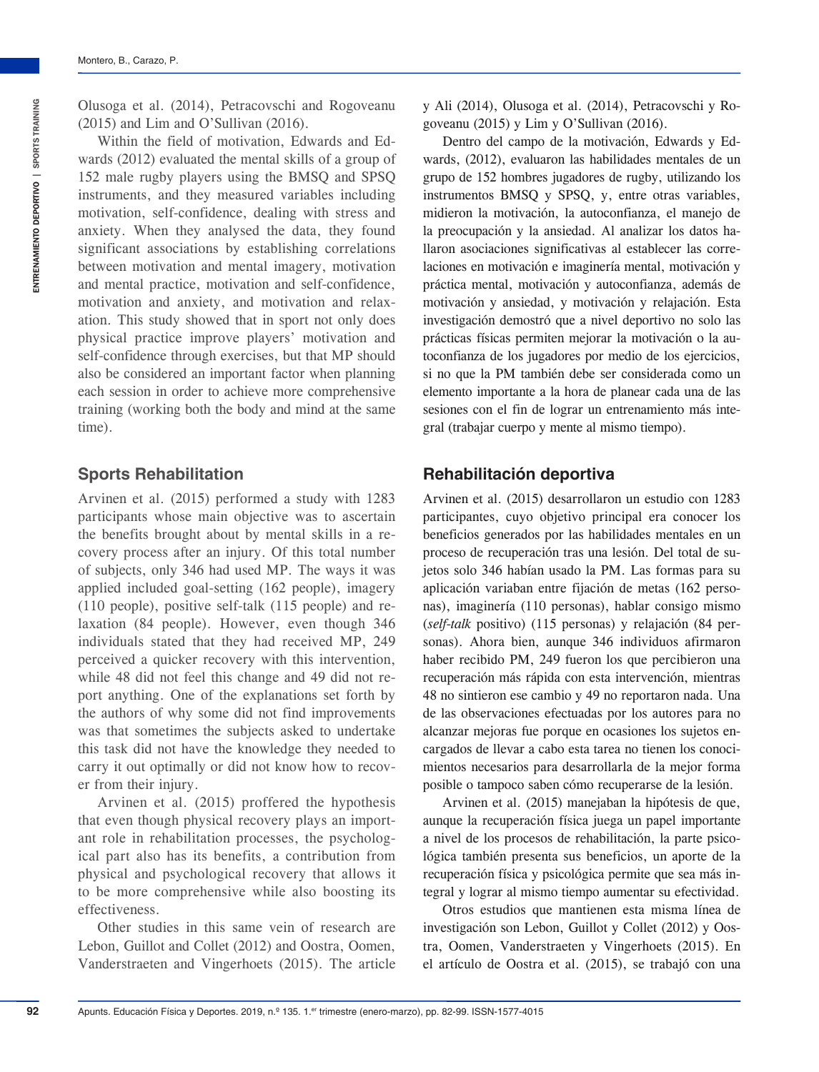Within the field of motivation, Edwards and Edwards (2012) evaluated the mental skills of a group of 152 male rugby players using the BMSQ and SPSQ instruments, and they measured variables including motivation, self-confidence, dealing with stress and anxiety. When they analysed the data, they found significant associations by establishing correlations between motivation and mental imagery, motivation and mental practice, motivation and self-confidence, motivation and anxiety, and motivation and relaxation. This study showed that in sport not only does physical practice improve players' motivation and self-confidence through exercises, but that MP should also be considered an important factor when planning each session in order to achieve more comprehensive training (working both the body and mind at the same time).

# **Sports Rehabilitation**

Arvinen et al. (2015) performed a study with 1283 participants whose main objective was to ascertain the benefits brought about by mental skills in a recovery process after an injury. Of this total number of subjects, only 346 had used MP. The ways it was applied included goal-setting (162 people), imagery (110 people), positive self-talk (115 people) and relaxation (84 people). However, even though 346 individuals stated that they had received MP, 249 perceived a quicker recovery with this intervention, while 48 did not feel this change and 49 did not report anything. One of the explanations set forth by the authors of why some did not find improvements was that sometimes the subjects asked to undertake this task did not have the knowledge they needed to carry it out optimally or did not know how to recover from their injury.

Arvinen et al. (2015) proffered the hypothesis that even though physical recovery plays an important role in rehabilitation processes, the psychological part also has its benefits, a contribution from physical and psychological recovery that allows it to be more comprehensive while also boosting its effectiveness.

Other studies in this same vein of research are Lebon, Guillot and Collet (2012) and Oostra, Oomen, Vanderstraeten and Vingerhoets (2015). The article

y Ali (2014), Olusoga et al. (2014), Petracovschi y Rogoveanu (2015) y Lim y O'Sullivan (2016).

Dentro del campo de la motivación, Edwards y Edwards, (2012), evaluaron las habilidades mentales de un grupo de 152 hombres jugadores de rugby, utilizando los instrumentos BMSQ y SPSQ, y, entre otras variables, midieron la motivación, la autoconfianza, el manejo de la preocupación y la ansiedad. Al analizar los datos hallaron asociaciones significativas al establecer las correlaciones en motivación e imaginería mental, motivación y práctica mental, motivación y autoconfianza, además de motivación y ansiedad, y motivación y relajación. Esta investigación demostró que a nivel deportivo no solo las prácticas físicas permiten mejorar la motivación o la autoconfianza de los jugadores por medio de los ejercicios, si no que la PM también debe ser considerada como un elemento importante a la hora de planear cada una de las sesiones con el fin de lograr un entrenamiento más integral (trabajar cuerpo y mente al mismo tiempo).

# **Rehabilitación deportiva**

Arvinen et al. (2015) desarrollaron un estudio con 1283 participantes, cuyo objetivo principal era conocer los beneficios generados por las habilidades mentales en un proceso de recuperación tras una lesión. Del total de sujetos solo 346 habían usado la PM. Las formas para su aplicación variaban entre fijación de metas (162 personas), imaginería (110 personas), hablar consigo mismo (*self-talk* positivo) (115 personas) y relajación (84 personas). Ahora bien, aunque 346 individuos afirmaron haber recibido PM, 249 fueron los que percibieron una recuperación más rápida con esta intervención, mientras 48 no sintieron ese cambio y 49 no reportaron nada. Una de las observaciones efectuadas por los autores para no alcanzar mejoras fue porque en ocasiones los sujetos encargados de llevar a cabo esta tarea no tienen los conocimientos necesarios para desarrollarla de la mejor forma posible o tampoco saben cómo recuperarse de la lesión.

Arvinen et al. (2015) manejaban la hipótesis de que, aunque la recuperación física juega un papel importante a nivel de los procesos de rehabilitación, la parte psicológica también presenta sus beneficios, un aporte de la recuperación física y psicológica permite que sea más integral y lograr al mismo tiempo aumentar su efectividad.

Otros estudios que mantienen esta misma línea de investigación son Lebon, Guillot y Collet (2012) y Oostra, Oomen, Vanderstraeten y Vingerhoets (2015). En el artículo de Oostra et al. (2015), se trabajó con una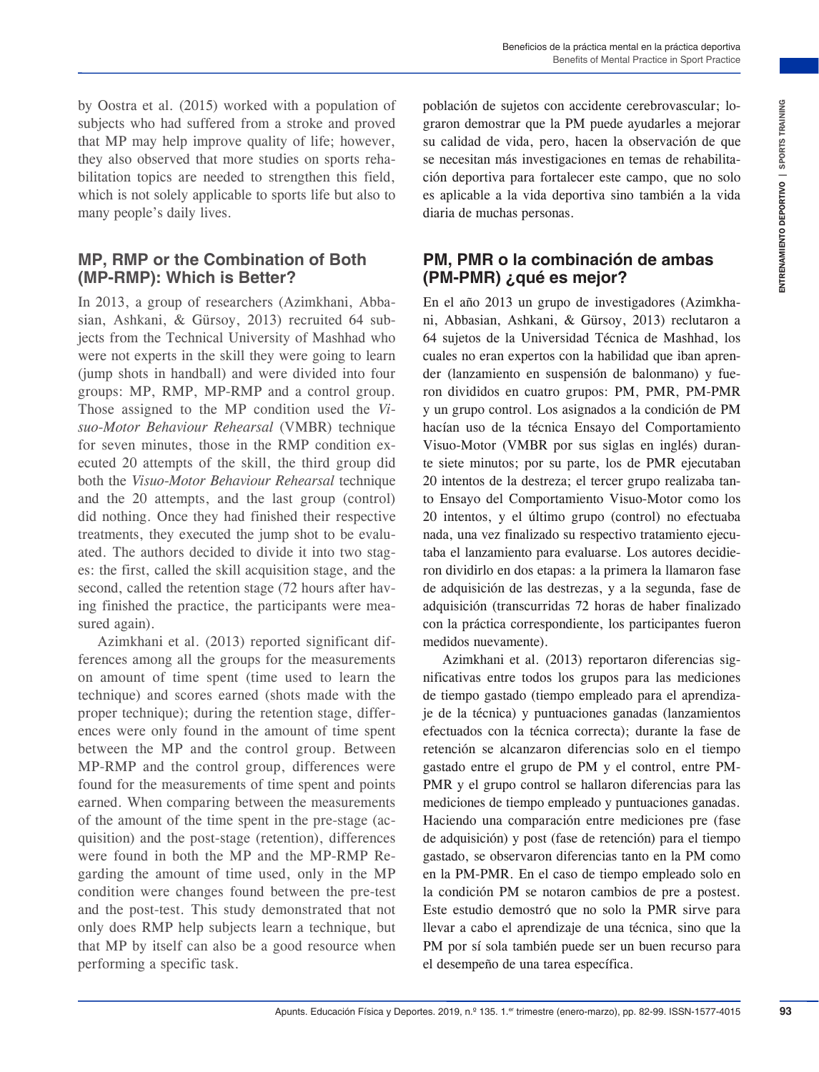by Oostra et al. (2015) worked with a population of subjects who had suffered from a stroke and proved that MP may help improve quality of life; however, they also observed that more studies on sports rehabilitation topics are needed to strengthen this field, which is not solely applicable to sports life but also to many people's daily lives.

#### **MP, RMP or the Combination of Both (MP-RMP): Which is Better?**

In 2013, a group of researchers (Azimkhani, Abbasian, Ashkani, & Gürsoy, 2013) recruited 64 subjects from the Technical University of Mashhad who were not experts in the skill they were going to learn (jump shots in handball) and were divided into four groups: MP, RMP, MP-RMP and a control group. Those assigned to the MP condition used the *Visuo-Motor Behaviour Rehearsal* (VMBR) technique for seven minutes, those in the RMP condition executed 20 attempts of the skill, the third group did both the *Visuo-Motor Behaviour Rehearsal* technique and the 20 attempts, and the last group (control) did nothing. Once they had finished their respective treatments, they executed the jump shot to be evaluated. The authors decided to divide it into two stages: the first, called the skill acquisition stage, and the second, called the retention stage (72 hours after having finished the practice, the participants were measured again).

Azimkhani et al. (2013) reported significant differences among all the groups for the measurements on amount of time spent (time used to learn the technique) and scores earned (shots made with the proper technique); during the retention stage, differences were only found in the amount of time spent between the MP and the control group. Between MP-RMP and the control group, differences were found for the measurements of time spent and points earned. When comparing between the measurements of the amount of the time spent in the pre-stage (acquisition) and the post-stage (retention), differences were found in both the MP and the MP-RMP Regarding the amount of time used, only in the MP condition were changes found between the pre-test and the post-test. This study demonstrated that not only does RMP help subjects learn a technique, but that MP by itself can also be a good resource when performing a specific task.

población de sujetos con accidente cerebrovascular; lograron demostrar que la PM puede ayudarles a mejorar su calidad de vida, pero, hacen la observación de que se necesitan más investigaciones en temas de rehabilitación deportiva para fortalecer este campo, que no solo es aplicable a la vida deportiva sino también a la vida diaria de muchas personas.

# **PM, PMR o la combinación de ambas (PM-PMR) ¿qué es mejor?**

with a propintion of polarion for equilibration for experimentation is the server, and called the value of the server is a more than the server of the server is a more than the server is a more than the server is a more th En el año 2013 un grupo de investigadores (Azimkhani, Abbasian, Ashkani, & Gürsoy, 2013) reclutaron a 64 sujetos de la Universidad Técnica de Mashhad, los cuales no eran expertos con la habilidad que iban aprender (lanzamiento en suspensión de balonmano) y fueron divididos en cuatro grupos: PM, PMR, PM-PMR y un grupo control. Los asignados a la condición de PM hacían uso de la técnica Ensayo del Comportamiento Visuo-Motor (VMBR por sus siglas en inglés) durante siete minutos; por su parte, los de PMR ejecutaban 20 intentos de la destreza; el tercer grupo realizaba tanto Ensayo del Comportamiento Visuo-Motor como los 20 intentos, y el último grupo (control) no efectuaba nada, una vez finalizado su respectivo tratamiento ejecutaba el lanzamiento para evaluarse. Los autores decidieron dividirlo en dos etapas: a la primera la llamaron fase de adquisición de las destrezas, y a la segunda, fase de adquisición (transcurridas 72 horas de haber finalizado con la práctica correspondiente, los participantes fueron medidos nuevamente).

Azimkhani et al. (2013) reportaron diferencias significativas entre todos los grupos para las mediciones de tiempo gastado (tiempo empleado para el aprendizaje de la técnica) y puntuaciones ganadas (lanzamientos efectuados con la técnica correcta); durante la fase de retención se alcanzaron diferencias solo en el tiempo gastado entre el grupo de PM y el control, entre PM-PMR y el grupo control se hallaron diferencias para las mediciones de tiempo empleado y puntuaciones ganadas. Haciendo una comparación entre mediciones pre (fase de adquisición) y post (fase de retención) para el tiempo gastado, se observaron diferencias tanto en la PM como en la PM-PMR. En el caso de tiempo empleado solo en la condición PM se notaron cambios de pre a postest. Este estudio demostró que no solo la PMR sirve para llevar a cabo el aprendizaje de una técnica, sino que la PM por sí sola también puede ser un buen recurso para el desempeño de una tarea específica.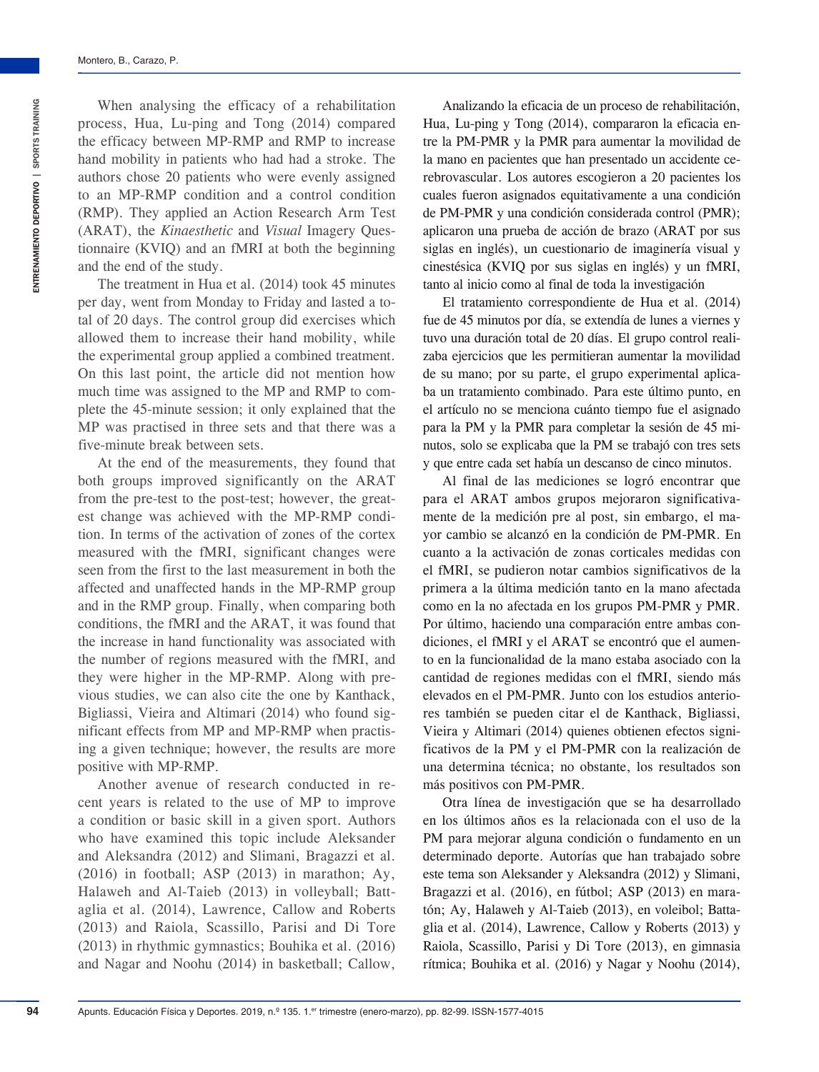When analysing the efficacy of a rehabilitation process, Hua, Lu-ping and Tong (2014) compared the efficacy between MP-RMP and RMP to increase hand mobility in patients who had had a stroke. The authors chose 20 patients who were evenly assigned to an MP-RMP condition and a control condition (RMP). They applied an Action Research Arm Test (ARAT), the *Kinaesthetic* and *Visual* Imagery Questionnaire (KVIQ) and an fMRI at both the beginning and the end of the study.

The treatment in Hua et al. (2014) took 45 minutes per day, went from Monday to Friday and lasted a total of 20 days. The control group did exercises which allowed them to increase their hand mobility, while the experimental group applied a combined treatment. On this last point, the article did not mention how much time was assigned to the MP and RMP to complete the 45-minute session; it only explained that the MP was practised in three sets and that there was a five-minute break between sets.

At the end of the measurements, they found that both groups improved significantly on the ARAT from the pre-test to the post-test; however, the greatest change was achieved with the MP-RMP condition. In terms of the activation of zones of the cortex measured with the fMRI, significant changes were seen from the first to the last measurement in both the affected and unaffected hands in the MP-RMP group and in the RMP group. Finally, when comparing both conditions, the fMRI and the ARAT, it was found that the increase in hand functionality was associated with the number of regions measured with the fMRI, and they were higher in the MP-RMP. Along with previous studies, we can also cite the one by Kanthack, Bigliassi, Vieira and Altimari (2014) who found significant effects from MP and MP-RMP when practising a given technique; however, the results are more positive with MP-RMP.

Another avenue of research conducted in recent years is related to the use of MP to improve a condition or basic skill in a given sport. Authors who have examined this topic include Aleksander and Aleksandra (2012) and Slimani, Bragazzi et al. (2016) in football; ASP (2013) in marathon; Ay, Halaweh and Al-Taieb (2013) in volleyball; Battaglia et al. (2014), Lawrence, Callow and Roberts (2013) and Raiola, Scassillo, Parisi and Di Tore (2013) in rhythmic gymnastics; Bouhika et al. (2016) and Nagar and Noohu (2014) in basketball; Callow,

Analizando la eficacia de un proceso de rehabilitación, Hua, Lu-ping y Tong (2014), compararon la eficacia entre la PM-PMR y la PMR para aumentar la movilidad de la mano en pacientes que han presentado un accidente cerebrovascular. Los autores escogieron a 20 pacientes los cuales fueron asignados equitativamente a una condición de PM-PMR y una condición considerada control (PMR); aplicaron una prueba de acción de brazo (ARAT por sus siglas en inglés), un cuestionario de imaginería visual y cinestésica (KVIQ por sus siglas en inglés) y un fMRI, tanto al inicio como al final de toda la investigación

El tratamiento correspondiente de Hua et al. (2014) fue de 45 minutos por día, se extendía de lunes a viernes y tuvo una duración total de 20 días. El grupo control realizaba ejercicios que les permitieran aumentar la movilidad de su mano; por su parte, el grupo experimental aplicaba un tratamiento combinado. Para este último punto, en el artículo no se menciona cuánto tiempo fue el asignado para la PM y la PMR para completar la sesión de 45 minutos, solo se explicaba que la PM se trabajó con tres sets y que entre cada set había un descanso de cinco minutos.

Al final de las mediciones se logró encontrar que para el ARAT ambos grupos mejoraron significativamente de la medición pre al post, sin embargo, el mayor cambio se alcanzó en la condición de PM-PMR. En cuanto a la activación de zonas corticales medidas con el fMRI, se pudieron notar cambios significativos de la primera a la última medición tanto en la mano afectada como en la no afectada en los grupos PM-PMR y PMR. Por último, haciendo una comparación entre ambas condiciones, el fMRI y el ARAT se encontró que el aumento en la funcionalidad de la mano estaba asociado con la cantidad de regiones medidas con el fMRI, siendo más elevados en el PM-PMR. Junto con los estudios anteriores también se pueden citar el de Kanthack, Bigliassi, Vieira y Altimari (2014) quienes obtienen efectos significativos de la PM y el PM-PMR con la realización de una determina técnica; no obstante, los resultados son más positivos con PM-PMR.

Otra línea de investigación que se ha desarrollado en los últimos años es la relacionada con el uso de la PM para mejorar alguna condición o fundamento en un determinado deporte. Autorías que han trabajado sobre este tema son Aleksander y Aleksandra (2012) y Slimani, Bragazzi et al. (2016), en fútbol; ASP (2013) en maratón; Ay, Halaweh y Al-Taieb (2013), en voleibol; Battaglia et al. (2014), Lawrence, Callow y Roberts (2013) y Raiola, Scassillo, Parisi y Di Tore (2013), en gimnasia rítmica; Bouhika et al. (2016) y Nagar y Noohu (2014),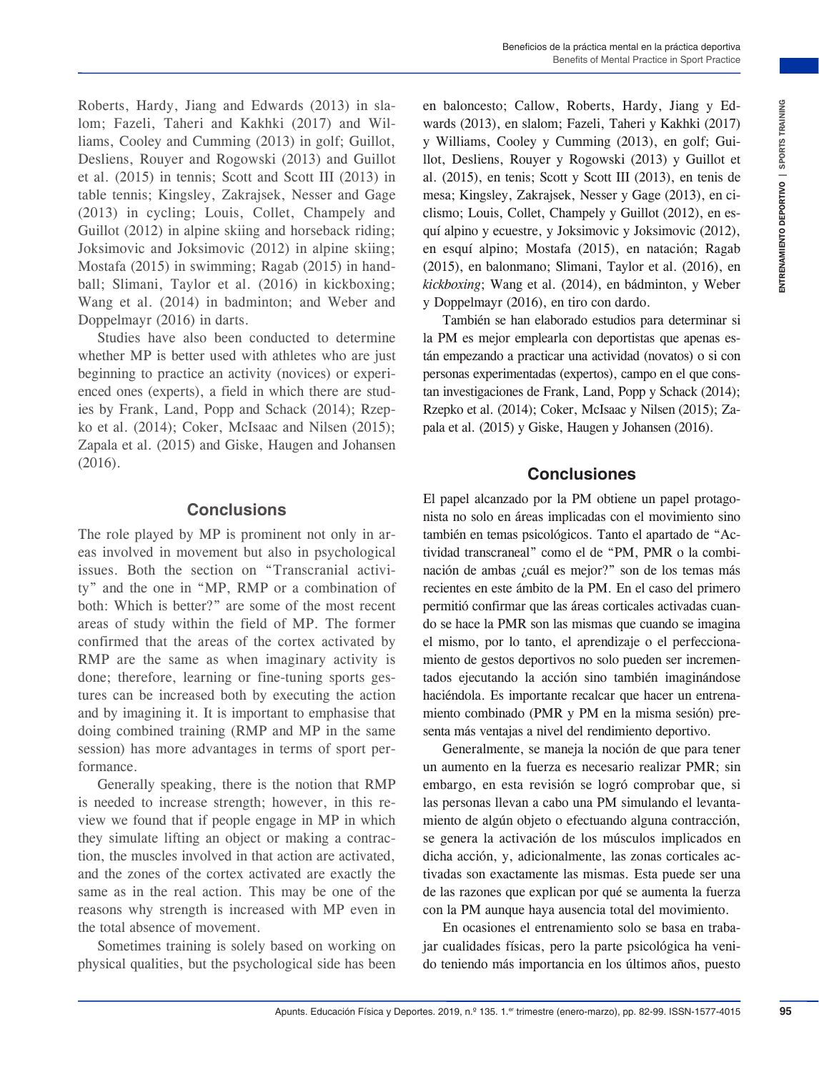Roberts, Hardy, Jiang and Edwards (2013) in slalom; Fazeli, Taheri and Kakhki (2017) and Williams, Cooley and Cumming (2013) in golf; Guillot, Desliens, Rouyer and Rogowski (2013) and Guillot et al. (2015) in tennis; Scott and Scott III (2013) in table tennis; Kingsley, Zakrajsek, Nesser and Gage (2013) in cycling; Louis, Collet, Champely and Guillot (2012) in alpine skiing and horseback riding; Joksimovic and Joksimovic (2012) in alpine skiing; Mostafa (2015) in swimming; Ragab (2015) in handball; Slimani, Taylor et al. (2016) in kickboxing; Wang et al. (2014) in badminton; and Weber and Doppelmayr (2016) in darts.

Studies have also been conducted to determine whether MP is better used with athletes who are just beginning to practice an activity (novices) or experienced ones (experts), a field in which there are studies by Frank, Land, Popp and Schack (2014); Rzepko et al. (2014); Coker, McIsaac and Nilsen (2015); Zapala et al. (2015) and Giske, Haugen and Johansen (2016).

#### **Conclusions**

The role played by MP is prominent not only in areas involved in movement but also in psychological issues. Both the section on "Transcranial activity" and the one in "MP, RMP or a combination of both: Which is better?" are some of the most recent areas of study within the field of MP. The former confirmed that the areas of the cortex activated by RMP are the same as when imaginary activity is done; therefore, learning or fine-tuning sports gestures can be increased both by executing the action and by imagining it. It is important to emphasise that doing combined training (RMP and MP in the same session) has more advantages in terms of sport performance.

Generally speaking, there is the notion that RMP is needed to increase strength; however, in this review we found that if people engage in MP in which they simulate lifting an object or making a contraction, the muscles involved in that action are activated, and the zones of the cortex activated are exactly the same as in the real action. This may be one of the reasons why strength is increased with MP even in the total absence of movement.

Sometimes training is solely based on working on physical qualities, but the psychological side has been

en baloncesto; Callow, Roberts, Hardy, Jiang y Edwards (2013), en slalom; Fazeli, Taheri y Kakhki (2017) y Williams, Cooley y Cumming (2013), en golf; Guillot, Desliens, Rouyer y Rogowski (2013) y Guillot et al. (2015), en tenis; Scott y Scott III (2013), en tenis de mesa; Kingsley, Zakrajsek, Nesser y Gage (2013), en ciclismo; Louis, Collet, Champely y Guillot (2012), en esquí alpino y ecuestre, y Joksimovic y Joksimovic (2012), en esquí alpino; Mostafa (2015), en natación; Ragab (2015), en balonmano; Slimani, Taylor et al. (2016), en *kickboxing*; Wang et al. (2014), en bádminton, y Weber y Doppelmayr (2016), en tiro con dardo.

También se han elaborado estudios para determinar si la PM es mejor emplearla con deportistas que apenas están empezando a practicar una actividad (novatos) o si con personas experimentadas (expertos), campo en el que constan investigaciones de Frank, Land, Popp y Schack (2014); Rzepko et al. (2014); Coker, McIsaac y Nilsen (2015); Zapala et al. (2015) y Giske, Haugen y Johansen (2016).

#### **Conclusiones**

Arist (2013) in the state of the most one of the most of trained and the most of trained and the most of trained a positions, Counterplane (2019), near galft Gui and the state of the state of the state of the state of the El papel alcanzado por la PM obtiene un papel protagonista no solo en áreas implicadas con el movimiento sino también en temas psicológicos. Tanto el apartado de "Actividad transcraneal" como el de "PM, PMR o la combinación de ambas ¿cuál es mejor?" son de los temas más recientes en este ámbito de la PM. En el caso del primero permitió confirmar que las áreas corticales activadas cuando se hace la PMR son las mismas que cuando se imagina el mismo, por lo tanto, el aprendizaje o el perfeccionamiento de gestos deportivos no solo pueden ser incrementados ejecutando la acción sino también imaginándose haciéndola. Es importante recalcar que hacer un entrenamiento combinado (PMR y PM en la misma sesión) presenta más ventajas a nivel del rendimiento deportivo.

Generalmente, se maneja la noción de que para tener un aumento en la fuerza es necesario realizar PMR; sin embargo, en esta revisión se logró comprobar que, si las personas llevan a cabo una PM simulando el levantamiento de algún objeto o efectuando alguna contracción, se genera la activación de los músculos implicados en dicha acción, y, adicionalmente, las zonas corticales activadas son exactamente las mismas. Esta puede ser una de las razones que explican por qué se aumenta la fuerza con la PM aunque haya ausencia total del movimiento.

En ocasiones el entrenamiento solo se basa en trabajar cualidades físicas, pero la parte psicológica ha venido teniendo más importancia en los últimos años, puesto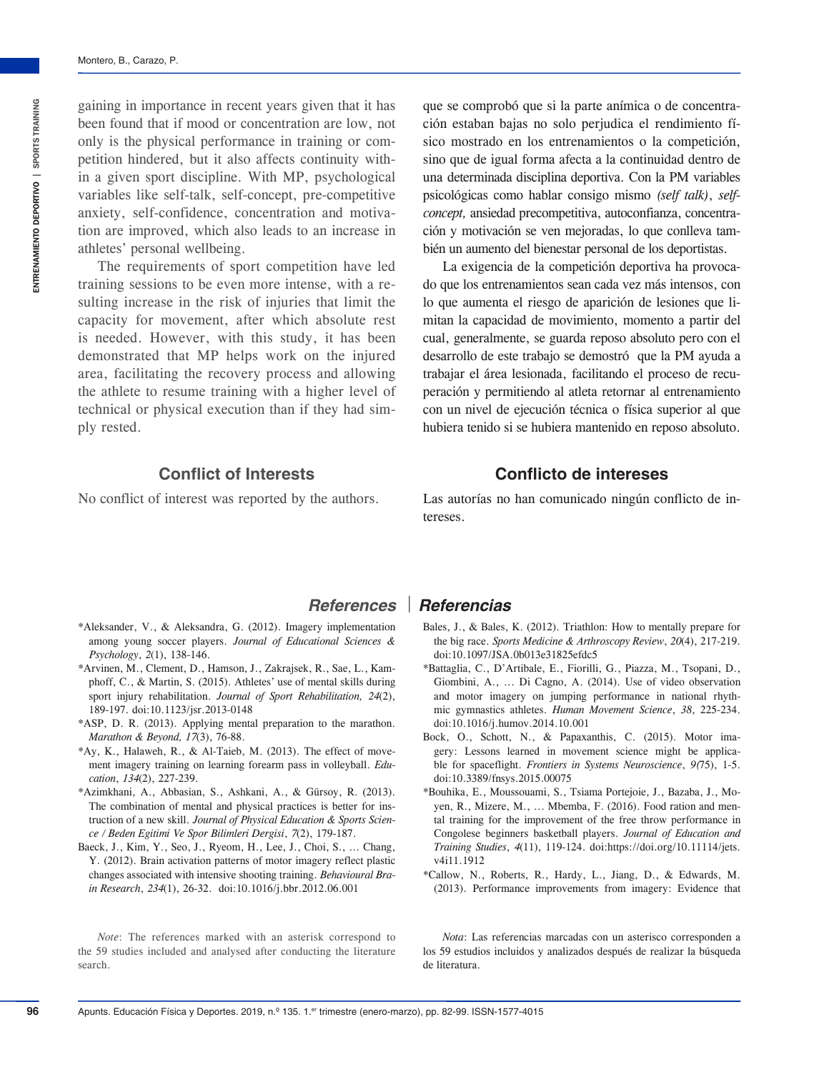gaining in importance in recent years given that it has been found that if mood or concentration are low, not only is the physical performance in training or competition hindered, but it also affects continuity within a given sport discipline. With MP, psychological variables like self-talk, self-concept, pre-competitive anxiety, self-confidence, concentration and motivation are improved, which also leads to an increase in athletes' personal wellbeing.

The requirements of sport competition have led training sessions to be even more intense, with a resulting increase in the risk of injuries that limit the capacity for movement, after which absolute rest is needed. However, with this study, it has been demonstrated that MP helps work on the injured area, facilitating the recovery process and allowing the athlete to resume training with a higher level of technical or physical execution than if they had simply rested.

que se comprobó que si la parte anímica o de concentración estaban bajas no solo perjudica el rendimiento físico mostrado en los entrenamientos o la competición, sino que de igual forma afecta a la continuidad dentro de una determinada disciplina deportiva. Con la PM variables psicológicas como hablar consigo mismo *(self talk)*, *selfconcept,* ansiedad precompetitiva, autoconfianza, concentración y motivación se ven mejoradas, lo que conlleva también un aumento del bienestar personal de los deportistas.

La exigencia de la competición deportiva ha provocado que los entrenamientos sean cada vez más intensos, con lo que aumenta el riesgo de aparición de lesiones que limitan la capacidad de movimiento, momento a partir del cual, generalmente, se guarda reposo absoluto pero con el desarrollo de este trabajo se demostró que la PM ayuda a trabajar el área lesionada, facilitando el proceso de recuperación y permitiendo al atleta retornar al entrenamiento con un nivel de ejecución técnica o física superior al que hubiera tenido si se hubiera mantenido en reposo absoluto.

#### **Conflict of Interests**

No conflict of interest was reported by the authors.

#### **Conflicto de intereses**

Las autorías no han comunicado ningún conflicto de intereses.

- \*Aleksander, V., & Aleksandra, G. (2012). Imagery implementation among young soccer players. *Journal of Educational Sciences & Psychology*, *2*(1), 138-146.
- \*Arvinen, M., Clement, D., Hamson, J., Zakrajsek, R., Sae, L., Kamphoff, C., & Martin, S. (2015). Athletes' use of mental skills during sport injury rehabilitation. *Journal of Sport Rehabilitation, 24*(2), 189-197. [doi:10.1123/jsr.2013-0148](https://doi.org/10.1123/jsr.2013-0148)
- \*ASP, D. R. (2013). Applying mental preparation to the marathon. *Marathon & Beyond, 17*(3), 76-88.
- \*Ay, K., Halaweh, R., & Al-Taieb, M. (2013). The effect of movement imagery training on learning forearm pass in volleyball. *Education*, *134*(2), 227-239.
- \*Azimkhani, A., Abbasian, S., Ashkani, A., & Gürsoy, R. (2013). The combination of mental and physical practices is better for instruction of a new skill. *Journal of Physical Education & Sports Science / Beden Egitimi Ve Spor Bilimleri Dergisi*, *7*(2), 179-187.
- Baeck, J., Kim, Y., Seo, J., Ryeom, H., Lee, J., Choi, S., ... Chang, Y. (2012). Brain activation patterns of motor imagery reflect plastic changes associated with intensive shooting training. *Behavioural Brain Research*, *234*(1), 26-32. [doi:10.1016/j.bbr.2012.06.001](https://doi.org/10.1016/j.bbr.2012.06.001)

#### *References Referencias*

- Bales, J., & Bales, K. (2012). Triathlon: How to mentally prepare for the big race. *Sports Medicine & Arthroscopy Review*, *20*(4), 217-219. [doi:10.1097/JSA.0b013e31825efdc5](https://doi.org/10.1097/JSA.0b013e31825efdc5)
- \*Battaglia, C., D'Artibale, E., Fiorilli, G., Piazza, M., Tsopani, D., Giombini, A., ... Di Cagno, A. (2014). Use of video observation and motor imagery on jumping performance in national rhythmic gymnastics athletes. *Human Movement Science*, *38*, 225-234. [doi:10.1016/j.humov.2014.10.001](https://doi.org/10.1016/j.humov.2014.10.001)
- Bock, O., Schott, N., & Papaxanthis, C. (2015). Motor imagery: Lessons learned in movement science might be applicable for spaceflight. *Frontiers in Systems Neuroscience*, *9(*75), 1-5. [doi:10.3389/fnsys.2015.00075](https://doi.org/10.3389/fnsys.2015.00075)
- \*Bouhika, E., Moussouami, S., Tsiama Portejoie, J., Bazaba, J., Moyen, R., Mizere, M., ... Mbemba, F. (2016). Food ration and mental training for the improvement of the free throw performance in Congolese beginners basketball players. *Journal of Education and Training Studies*, *4*(11), 119-124. doi:https://doi.org/10.11114/jets. v4i11.1912
- \*Callow, N., Roberts, R., Hardy, L., Jiang, D., & Edwards, M. (2013). Performance improvements from imagery: Evidence that

*Note*: The references marked with an asterisk correspond to the 59 studies included and analysed after conducting the literature search.

*Nota*: Las referencias marcadas con un asterisco corresponden a los 59 estudios incluidos y analizados después de realizar la búsqueda de literatura.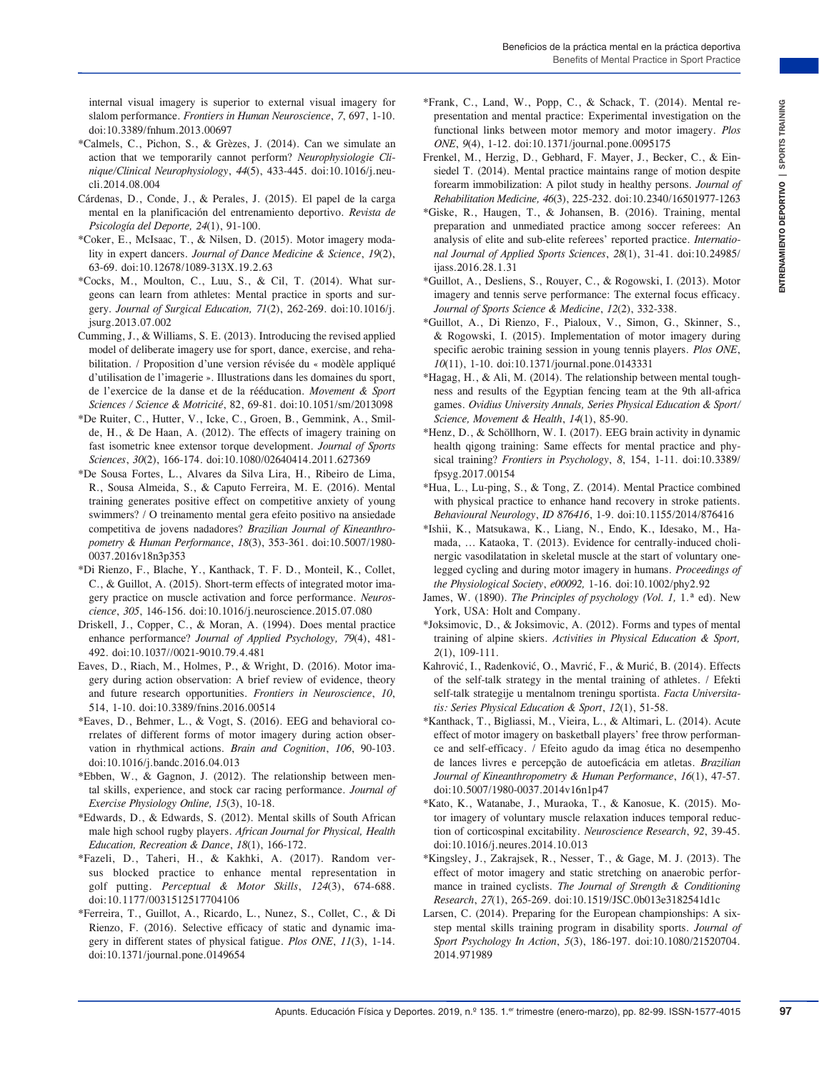internal visual imagery is superior to external visual imagery for slalom performance. *Frontiers in Human Neuroscience*, *7*, 697, 1-10. d[oi:10.3389/fnhum.2013.00697](https://doi.org/10.3389/fnhum.2013.00697)

- \*Calmels, C., Pichon, S., & Grèzes, J. (2014). Can we simulate an action that we temporarily cannot perform? *Neurophysiologie Clinique/Clinical Neurophysiology*, *44*(5), 433-445. [doi:10.1016/j.neu](https://doi.org/10.1016/j.neucli.2014.08.004)[cli.2014.08.004](https://doi.org/10.1016/j.neucli.2014.08.004)
- Cárdenas, D., Conde, J., & Perales, J. (2015). El papel de la carga mental en la planificación del entrenamiento deportivo. *Revista de Psicología del Deporte, 24*(1), 91-100.
- \*Coker, E., McIsaac, T., & Nilsen, D. (2015). Motor imagery modality in expert dancers. *Journal of Dance Medicine & Science*, *19*(2), 63-69. [doi:10.12678/1089-313X.19.2.63](https://doi.org/10.12678/1089-313X.19.2.63)
- \*Cocks, M., Moulton, C., Luu, S., & Cil, T. (2014). What surgeons can learn from athletes: Mental practice in sports and surgery*. Journal of Surgical Education, 71*(2), 262-269. [doi:10.1016/j.](https://doi.org/10.1016/j.jsurg.2013.07.002) [jsurg.2013.07.002](https://doi.org/10.1016/j.jsurg.2013.07.002)
- Cumming, J., & Williams, S. E. (2013). Introducing the revised applied model of deliberate imagery use for sport, dance, exercise, and rehabilitation. / Proposition d'une version révisée du « modèle appliqué d'utilisation de l'imagerie ». Illustrations dans les domaines du sport, de l'exercice de la danse et de la rééducation. *Movement & Sport Sciences / Science & Motricité*, 82, 69-81. [doi:10.1051/sm/2013098](https://doi.org/10.1051/sm/2013098)
- \*De Ruiter, C., Hutter, V., Icke, C., Groen, B., Gemmink, A., Smilde, H., & De Haan, A. (2012). The effects of imagery training on fast isometric knee extensor torque development. *Journal of Sports Sciences*, *30*(2), 166-174. [doi:10.1080/02640414.2011.627369](https://doi.org/10.1080/02640414.2011.627369)
- \*De Sousa Fortes, L., Alvares da Silva Lira, H., Ribeiro de Lima, R., Sousa Almeida, S., & Caputo Ferreira, M. E. (2016). Mental training generates positive effect on competitive anxiety of young swimmers? / O treinamento mental gera efeito positivo na ansiedade competitiva de jovens nadadores? *Brazilian Journal of Kineanthropometry & Human Performance*, *18*(3), 353-361. [doi:10.5007/1980-](https://doi.org/10.5007/1980-0037.2016v18n3p353) [0037.2016v18n3p353](https://doi.org/10.5007/1980-0037.2016v18n3p353)
- \*Di Rienzo, F., Blache, Y., Kanthack, T. F. D., Monteil, K., Collet, C., & Guillot, A. (2015). Short-term effects of integrated motor imagery practice on muscle activation and force performance. *Neuroscience*, *305*, 146-156. [doi:10.1016/j.neuroscience.2015.07.080](https://doi.org/10.1016/j.neuroscience.2015.07.080)
- Driskell, J., Copper, C., & Moran, A. (1994). Does mental practice enhance performance? *Journal of Applied Psychology, 79*(4), 481- 492. [doi:10.1037//0021-9010.79.4.481](https://doi.org/10.1037//0021-9010.79.4.481)
- Eaves, D., Riach, M., Holmes, P., & Wright, D. (2016). Motor imagery during action observation: A brief review of evidence, theory and future research opportunities. *Frontiers in Neuroscience*, *10*, 514, 1-10. [doi:10.3389/fnins.2016.00514](https://doi.org/10.3389/fnins.2016.00514)
- \*Eaves, D., Behmer, L., & Vogt, S. (2016). EEG and behavioral correlates of different forms of motor imagery during action observation in rhythmical actions. *Brain and Cognition*, *106*, 90-103. [doi:10.1016/j.bandc.2016.04.013](https://doi.org/10.1016/j.bandc.2016.04.013)
- \*Ebben, W., & Gagnon, J. (2012). The relationship between mental skills, experience, and stock car racing performance. *Journal of Exercise Physiology Online, 15*(3), 10-18.
- \*Edwards, D., & Edwards, S. (2012). Mental skills of South African male high school rugby players. *African Journal for Physical, Health Education, Recreation & Dance*, *18*(1), 166-172.
- \*Fazeli, D., Taheri, H., & Kakhki, A. (2017). Random versus blocked practice to enhance mental representation in golf putting. *Perceptual & Motor Skills*, *124*(3), 674-688. [doi:10.1177/0031512517704106](https://doi.org/10.1177/0031512517704106)
- \*Ferreira, T., Guillot, A., Ricardo, L., Nunez, S., Collet, C., & Di Rienzo, F. (2016). Selective efficacy of static and dynamic imagery in different states of physical fatigue. *Plos ONE*, *11*(3), 1-14. [doi:10.1371/journal.pone.0149654](https://doi.org/10.1371/journal.pone.0149654)
- \*Frank, C., Land, W., Popp, C., & Schack, T. (2014). Mental representation and mental practice: Experimental investigation on the functional links between motor memory and motor imagery. *Plos ONE*, *9*(4), 1-12. [doi:10.1371/journal.pone.0095175](https://doi.org/10.1371/journal.pone.0095175)
- Frenkel, M., Herzig, D., Gebhard, F. Mayer, J., Becker, C., & Einsiedel T. (2014). Mental practice maintains range of motion despite forearm immobilization: A pilot study in healthy persons*. Journal of Rehabilitation Medicine, 46*(3), 225-232. [doi:10.2340/16501977-1263](https://doi.org/10.2340/16501977-1263)
- \*Giske, R., Haugen, T., & Johansen, B. (2016). Training, mental preparation and unmediated practice among soccer referees: An analysis of elite and sub-elite referees' reported practice. *International Journal of Applied Sports Sciences*, *28*(1), 31-41. doi:10.24985/ ijass.2016.28.1.31
- \*Guillot, A., Desliens, S., Rouyer, C., & Rogowski, I. (2013). Motor imagery and tennis serve performance: The external focus efficacy. *Journal of Sports Science & Medicine*, *12*(2), 332-338.
- \*Guillot, A., Di Rienzo, F., Pialoux, V., Simon, G., Skinner, S., & Rogowski, I. (2015). Implementation of motor imagery during specific aerobic training session in young tennis players. *Plos ONE*, *10*(11), 1-10. [doi:10.1371/journal.pone.0143331](https://doi.org/10.1371/journal.pone.0143331)
- \*Hagag, H., & Ali, M. (2014). The relationship between mental toughness and results of the Egyptian fencing team at the 9th all-africa games. *Ovidius University Annals, Series Physical Education & Sport/ Science, Movement & Health*, *14*(1), 85-90.
- \*Henz, D., & Schöllhorn, W. I. (2017). EEG brain activity in dynamic health qigong training: Same effects for mental practice and physical training? *Frontiers in Psychology*, *8*, 154, 1-11. [doi:10.3389/](https://doi.org/10.3389/fpsyg.2017.00154) [fpsyg.2017.00154](https://doi.org/10.3389/fpsyg.2017.00154)
- \*Hua, L., Lu-ping, S., & Tong, Z. (2014). Mental Practice combined with physical practice to enhance hand recovery in stroke patients. *Behavioural Neurology*, *ID 876416*, 1-9. [doi:10.1155/2014/876416](https://doi.org/10.1155/2014/876416)
- \*Ishii, K., Matsukawa, K., Liang, N., Endo, K., Idesako, M., Hamada, ... Kataoka, T. (2013). Evidence for centrally-induced cholinergic vasodilatation in skeletal muscle at the start of voluntary onelegged cycling and during motor imagery in humans. *Proceedings of the Physiological Society*, *e00092,* 1-16. [doi:10.1002/phy2.92](https://doi.org/10.1002/phy2.92)
- James, W. (1890). *The Principles of psychology (Vol. 1,* 1.ª ed). New York, USA: Holt and Company.
- \*Joksimovic, D., & Joksimovic, A. (2012). Forms and types of mental training of alpine skiers. *Activities in Physical Education & Sport, 2*(1), 109-111.
- Kahrović, I., Radenković, O., Mavrić, F., & Murić, B. (2014). Effects of the self-talk strategy in the mental training of athletes. / Efekti self-talk strategije u mentalnom treningu sportista. *Facta Universitatis: Series Physical Education & Sport*, *12*(1), 51-58.
- Are the standard in the standard properties. The matrix is the standard control of the standard control of the standard control of the standard control of the standard control of the standard control of the standard contr \*Kanthack, T., Bigliassi, M., Vieira, L., & Altimari, L. (2014). Acute effect of motor imagery on basketball players' free throw performance and self-efficacy. / Efeito agudo da imag ética no desempenho de lances livres e percepção de autoeficácia em atletas. *Brazilian Journal of Kineanthropometry & Human Performance*, *16*(1), 47-57. [doi:10.5007/1980-0037.2014v16n1p47](https://doi.org/10.5007/1980-0037.2014v16n1p47)
	- \*Kato, K., Watanabe, J., Muraoka, T., & Kanosue, K. (2015). Motor imagery of voluntary muscle relaxation induces temporal reduction of corticospinal excitability. *Neuroscience Research*, *92*, 39-45. [doi:10.1016/j.neures.2014.10.013](https://doi.org/10.1016/j.neures.2014.10.013)
	- \*Kingsley, J., Zakrajsek, R., Nesser, T., & Gage, M. J. (2013). The effect of motor imagery and static stretching on anaerobic performance in trained cyclists. *The Journal of Strength & Conditioning Research*, *27*(1), 265-269. [doi:10.1519/JSC.0b013e3182541d1c](https://doi.org/10.1519/JSC.0b013e3182541d1c)
	- Larsen, C. (2014). Preparing for the European championships: A sixstep mental skills training program in disability sports. *Journal of Sport Psychology In Action*, *5*(3), 186-197. [doi:10.1080/21520704.](https://doi.org/10.1080/21520704.2014.971989) [2014.971989](https://doi.org/10.1080/21520704.2014.971989)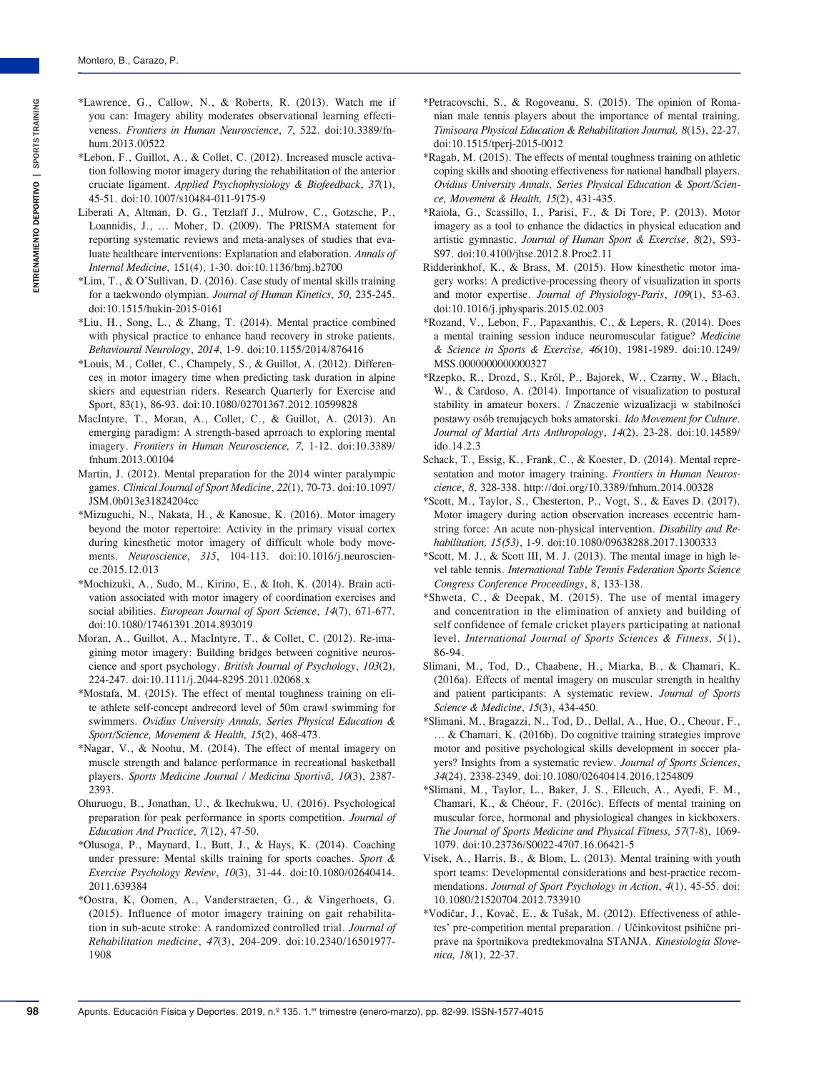- \*Lawrence, G., Callow, N., & Roberts, R. (2013). Watch me if you can: Imagery ability moderates observational learning effectiveness. *Frontiers in Human Neuroscience*, *7*, 522. [doi:10.3389/fn](https://doi.org/10.3389/fnhum.2013.00522)[hum.2013.00522](https://doi.org/10.3389/fnhum.2013.00522)
- \*Lebon, F., Guillot, A., & Collet, C. (2012). Increased muscle activation following motor imagery during the rehabilitation of the anterior cruciate ligament. *Applied Psychophysiology & Biofeedback*, *37*(1), 45-51. [doi:10.1007/s10484-011-9175-9](https://doi.org/10.1007/s10484-011-9175-9)
- Liberati A, Altman, D. G., Tetzlaff J., Mulrow, C., Gotzsche, P., Loannidis, J., ... Moher, D. (2009). The PRISMA statement for reporting systematic reviews and meta-analyses of studies that evaluate healthcare interventions: Explanation and elaboration. *Annals of Internal Medicine*, 151(4), 1-30. [doi:10.1136/bmj.b2700](https://doi.org/10.1136/bmj.b2700)
- \*Lim, T., & O'Sullivan, D. (2016). Case study of mental skills training for a taekwondo olympian. *Journal of Human Kinetics*, *50*, 235-245. [doi:10.1515/hukin-2015-0161](https://doi.org/10.1515/hukin-2015-0161)
- \*Liu, H., Song, L., & Zhang, T. (2014). Mental practice combined with physical practice to enhance hand recovery in stroke patients. *Behavioural Neurology*, *2014*, 1-9. [doi:10.1155/2014/876416](https://doi.org/10.1155/2014/876416)
- \*Louis, M., Collet, C., Champely, S., & Guillot, A. (2012). Differences in motor imagery time when predicting task duration in alpine skiers and equestrian riders. Research Quarterly for Exercise and Sport, 83(1), 86-93. [doi:10.1080/02701367.2012.10599828](https://doi.org/10.1080/02701367.2012.10599828)
- MacIntyre, T., Moran, A., Collet, C., & Guillot, A. (2013). An emerging paradigm: A strength-based aprroach to exploring mental imagery. *Frontiers in Human Neuroscience, 7*, 1-12. [doi:10.3389/](https://doi.org/10.3389/fnhum.2013.00104) [fnhum.2013.00104](https://doi.org/10.3389/fnhum.2013.00104)
- Martin, J. (2012). Mental preparation for the 2014 winter paralympic games. *Clinical Journal of Sport Medicine*, *22*(1), 70-73. [doi:10.1097/](https://www.ncbi.nlm.nih.gov/pubmed/22222589) [JSM.0b013e31824204cc](https://www.ncbi.nlm.nih.gov/pubmed/22222589)
- \*Mizuguchi, N., Nakata, H., & Kanosue, K. (2016). Motor imagery beyond the motor repertoire: Activity in the primary visual cortex during kinesthetic motor imagery of difficult whole body movements. *Neuroscience*, *315*, 104-113. [doi:10.1016/j.neuroscien](https://doi.org/10.1016/j.neuroscience.2015.12.013)[ce.2015.12.013](https://doi.org/10.1016/j.neuroscience.2015.12.013)
- \*Mochizuki, A., Sudo, M., Kirino, E., & Itoh, K. (2014). Brain activation associated with motor imagery of coordination exercises and social abilities. *European Journal of Sport Science*, *14*(7), 671-677. [doi:10.1080/17461391.2014.893019](https://doi.org/10.1080/17461391.2014.893019)
- Moran, A., Guillot, A., MacIntyre, T., & Collet, C. (2012). Re-imagining motor imagery: Building bridges between cognitive neuroscience and sport psychology. *British Journal of Psychology*, *103*(2), 224-247. [doi:10.1111/j.2044-8295.2011.02068.x](https://doi.org/10.1111/j.2044-8295.2011.02068.x)
- \*Mostafa, M. (2015). The effect of mental toughness training on elite athlete self-concept andrecord level of 50m crawl swimming for swimmers. *Ovidius University Annals, Series Physical Education & Sport/Science, Movement & Health, 15*(2), 468-473.
- \*Nagar, V., & Noohu, M. (2014). The effect of mental imagery on muscle strength and balance performance in recreational basketball players. *Sports Medicine Journal / Medicina Sportivâ*, *10*(3), 2387- 2393.
- Ohuruogu, B., Jonathan, U., & Ikechukwu, U. (2016). Psychological preparation for peak performance in sports competition. *Journal of Education And Practice*, *7*(12), 47-50.
- \*Olusoga, P., Maynard, I., Butt, J., & Hays, K. (2014). Coaching under pressure: Mental skills training for sports coaches. *Sport & Exercise Psychology Review*, *10*(3), 31-44. [doi:10.1080/02640414.](https://doi.org/10.1080/02640414.2011.639384) [2011.639384](https://doi.org/10.1080/02640414.2011.639384)
- \*Oostra, K, Oomen, A., Vanderstraeten, G., & Vingerhoets, G. (2015). Influence of motor imagery training on gait rehabilitation in sub-acute stroke: A randomized controlled trial. *Journal of Rehabilitation medicine*, *47*(3), 204-209. [doi:10.2340/16501977-](https://doi.org/10.2340/16501977-1908) [1908](https://doi.org/10.2340/16501977-1908)
- \*Petracovschi, S., & Rogoveanu, S. (2015). The opinion of Romanian male tennis players about the importance of mental training. *Timisoara Physical Education & Rehabilitation Journal, 8*(15), 22-27. [doi:10.1515/tperj-2015-0012](https://doi.org/10.1515/tperj-2015-0012)
- \*Ragab, M. (2015). The effects of mental toughness training on athletic coping skills and shooting effectiveness for national handball players. *Ovidius University Annals, Series Physical Education & Sport/Science, Movement & Health, 15*(2), 431-435.
- \*Raiola, G., Scassillo, I., Parisi, F., & Di Tore, P. (2013). Motor imagery as a tool to enhance the didactics in physical education and artistic gymnastic. *Journal of Human Sport & Exercise*, *8*(2), S93- S97. [doi:10.4100/jhse.2012.8.Proc2.11](https://doi.org/10.4100/jhse.2012.8.Proc2.11)
- Ridderinkhof, K., & Brass, M. (2015). How kinesthetic motor imagery works: A predictive-processing theory of visualization in sports and motor expertise. *Journal of Physiology-Paris*, *109*(1), 53-63. [doi:10.1016/j.jphysparis.2015.02.003](https://doi.org/10.1016/j.jphysparis.2015.02.003)
- \*Rozand, V., Lebon, F., Papaxanthis, C., & Lepers, R. (2014). Does a mental training session induce neuromuscular fatigue? *Medicine & Science in Sports & Exercise, 46*(10), 1981-1989. [doi:10.1249/](https://doi.org/10.1249/MSS.0000000000000327) [MSS.0000000000000327](https://doi.org/10.1249/MSS.0000000000000327)
- \*Rzepko, R., Drozd, S., Król, P., Bajorek, W., Czarny, W., Błach, W., & Cardoso, A. (2014). Importance of visualization to postural stability in amateur boxers. / Znaczenie wizualizacji w stabilności postawy osób trenujących boks amatorski. *Ido Movement for Culture. Journal of Martial Arts Anthropology*, *14*(2), 23-28. [doi:10.14589/](https://doi.org/10.14589/ido.14.2.3) [ido.14.2.3](https://doi.org/10.14589/ido.14.2.3)
- Schack, T., Essig, K., Frank, C., & Koester, D. (2014). Mental representation and motor imagery training. *Frontiers in Human Neuroscience*, *8*, 328-338. [http://doi.org/10.3389/fnhum.2014.00328](https://doi.org/10.3389/fnhum.2014.00328)
- \*Scott, M., Taylor, S., Chesterton, P., Vogt, S., & Eaves D. (2017). Motor imagery during action observation increases eccentric hamstring force: An acute non-physical intervention. *Disability and Rehabilitation, 15(53)*, 1-9. [doi:10.1080/09638288.2017.1300333](https://doi.org/10.1080/09638288.2017.1300333)
- \*Scott, M. J., & Scott III, M. J. (2013). The mental image in high level table tennis. *International Table Tennis Federation Sports Science Congress Conference Proceedings*, 8, 133-138.
- \*Shweta, C., & Deepak, M. (2015). The use of mental imagery and concentration in the elimination of anxiety and building of self confidence of female cricket players participating at national level. *International Journal of Sports Sciences & Fitness, 5*(1), 86-94.
- Slimani, M., Tod, D., Chaabene, H., Miarka, B., & Chamari, K. (2016a). Effects of mental imagery on muscular strength in healthy and patient participants: A systematic review. *Journal of Sports Science & Medicine*, *15*(3), 434-450.
- \*Slimani, M., Bragazzi, N., Tod, D., Dellal, A., Hue, O., Cheour, F., ... & Chamari, K. (2016b). Do cognitive training strategies improve motor and positive psychological skills development in soccer players? Insights from a systematic review. *Journal of Sports Sciences*, *34*(24), 2338-2349. [doi:10.1080/02640414.2016.1254809](https://doi.org/10.1080/02640414.2016.1254809)
- \*Slimani, M., Taylor, L., Baker, J. S., Elleuch, A., Ayedi, F. M., Chamari, K., & Chéour, F. (2016c). Effects of mental training on muscular force, hormonal and physiological changes in kickboxers. *The Journal of Sports Medicine and Physical Fitness, 57*(7-8), 1069- 1079. doi[:10.23736/S0022-4707.16.06421-5](https://doi.org/10.23736/S0022-4707.16.06421-5)
- Visek, A., Harris, B., & Blom, L. (2013). Mental training with youth sport teams: Developmental considerations and best-practice recommendations. *Journal of Sport Psychology in Action*, *4*(1), 45-55. [doi:](https://doi.org/10.1080/21520704.2012.733910) [10.1080/21520704.2012.733910](https://doi.org/10.1080/21520704.2012.733910)
- \*Vodičar, J., Kovač, E., & Tušak, M. (2012). Effectiveness of athletes' pre-competition mental preparation. / Učinkovitost psihične priprave na športnikova predtekmovalna STANJA. *Kinesiologia Slovenica, 18*(1), 22-37.